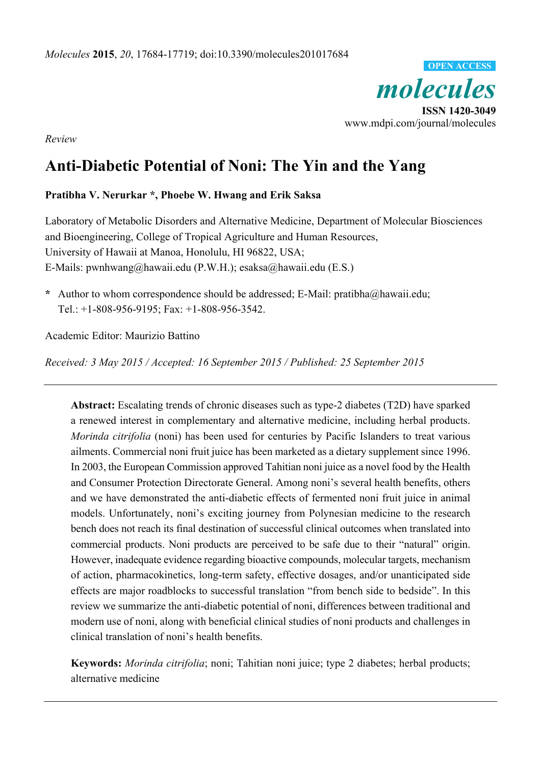

*Review* 

# **Anti-Diabetic Potential of Noni: The Yin and the Yang**

### **Pratibha V. Nerurkar \*, Phoebe W. Hwang and Erik Saksa**

Laboratory of Metabolic Disorders and Alternative Medicine, Department of Molecular Biosciences and Bioengineering, College of Tropical Agriculture and Human Resources, University of Hawaii at Manoa, Honolulu, HI 96822, USA; E-Mails: pwnhwang@hawaii.edu (P.W.H.); esaksa@hawaii.edu (E.S.)

**\*** Author to whom correspondence should be addressed; E-Mail: pratibha@hawaii.edu; Tel.: +1-808-956-9195; Fax: +1-808-956-3542.

Academic Editor: Maurizio Battino

*Received: 3 May 2015 / Accepted: 16 September 2015 / Published: 25 September 2015* 

**Abstract:** Escalating trends of chronic diseases such as type-2 diabetes (T2D) have sparked a renewed interest in complementary and alternative medicine, including herbal products. *Morinda citrifolia* (noni) has been used for centuries by Pacific Islanders to treat various ailments. Commercial noni fruit juice has been marketed as a dietary supplement since 1996. In 2003, the European Commission approved Tahitian noni juice as a novel food by the Health and Consumer Protection Directorate General. Among noni's several health benefits, others and we have demonstrated the anti-diabetic effects of fermented noni fruit juice in animal models. Unfortunately, noni's exciting journey from Polynesian medicine to the research bench does not reach its final destination of successful clinical outcomes when translated into commercial products. Noni products are perceived to be safe due to their "natural" origin. However, inadequate evidence regarding bioactive compounds, molecular targets, mechanism of action, pharmacokinetics, long-term safety, effective dosages, and/or unanticipated side effects are major roadblocks to successful translation "from bench side to bedside". In this review we summarize the anti-diabetic potential of noni, differences between traditional and modern use of noni, along with beneficial clinical studies of noni products and challenges in clinical translation of noni's health benefits.

**Keywords:** *Morinda citrifolia*; noni; Tahitian noni juice; type 2 diabetes; herbal products; alternative medicine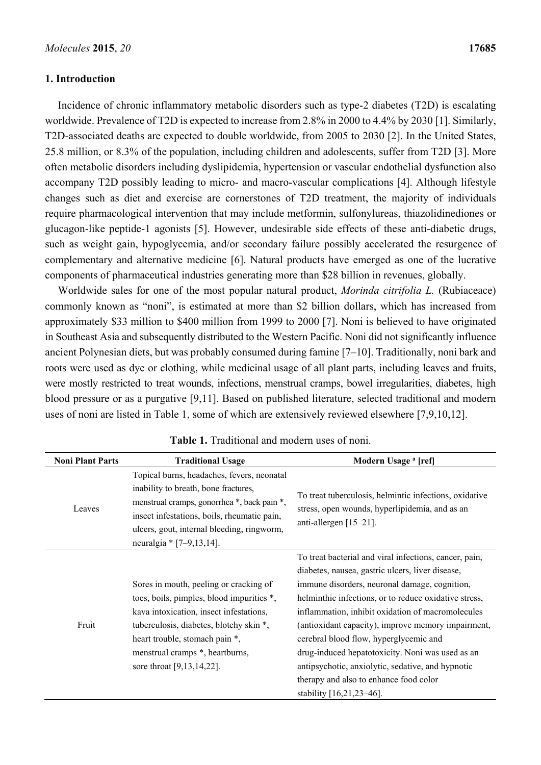#### **1. Introduction**

Incidence of chronic inflammatory metabolic disorders such as type-2 diabetes (T2D) is escalating worldwide. Prevalence of T2D is expected to increase from 2.8% in 2000 to 4.4% by 2030 [1]. Similarly, T2D-associated deaths are expected to double worldwide, from 2005 to 2030 [2]. In the United States, 25.8 million, or 8.3% of the population, including children and adolescents, suffer from T2D [3]. More often metabolic disorders including dyslipidemia, hypertension or vascular endothelial dysfunction also accompany T2D possibly leading to micro- and macro-vascular complications [4]. Although lifestyle changes such as diet and exercise are cornerstones of T2D treatment, the majority of individuals require pharmacological intervention that may include metformin, sulfonylureas, thiazolidinediones or glucagon-like peptide-1 agonists [5]. However, undesirable side effects of these anti-diabetic drugs, such as weight gain, hypoglycemia, and/or secondary failure possibly accelerated the resurgence of complementary and alternative medicine [6]. Natural products have emerged as one of the lucrative components of pharmaceutical industries generating more than \$28 billion in revenues, globally.

Worldwide sales for one of the most popular natural product, *Morinda citrifolia L.* (Rubiaceace) commonly known as "noni", is estimated at more than \$2 billion dollars, which has increased from approximately \$33 million to \$400 million from 1999 to 2000 [7]. Noni is believed to have originated in Southeast Asia and subsequently distributed to the Western Pacific. Noni did not significantly influence ancient Polynesian diets, but was probably consumed during famine [7–10]. Traditionally, noni bark and roots were used as dye or clothing, while medicinal usage of all plant parts, including leaves and fruits, were mostly restricted to treat wounds, infections, menstrual cramps, bowel irregularities, diabetes, high blood pressure or as a purgative [9,11]. Based on published literature, selected traditional and modern uses of noni are listed in Table 1, some of which are extensively reviewed elsewhere [7,9,10,12].

| <b>Noni Plant Parts</b> | <b>Traditional Usage</b>                                                                                                                                                                                                                                                    | Modern Usage <sup>a</sup> [ref]                                                                                                                                                                                                                                                                                                                                                                                                                                                                                                                          |
|-------------------------|-----------------------------------------------------------------------------------------------------------------------------------------------------------------------------------------------------------------------------------------------------------------------------|----------------------------------------------------------------------------------------------------------------------------------------------------------------------------------------------------------------------------------------------------------------------------------------------------------------------------------------------------------------------------------------------------------------------------------------------------------------------------------------------------------------------------------------------------------|
| Leaves                  | Topical burns, headaches, fevers, neonatal<br>inability to breath, bone fractures,<br>menstrual cramps, gonorrhea *, back pain *,<br>insect infestations, boils, rheumatic pain,<br>ulcers, gout, internal bleeding, ringworm,<br>neuralgia * $[7-9, 13, 14]$ .             | To treat tuberculosis, helmintic infections, oxidative<br>stress, open wounds, hyperlipidemia, and as an<br>anti-allergen $[15-21]$ .                                                                                                                                                                                                                                                                                                                                                                                                                    |
| Fruit                   | Sores in mouth, peeling or cracking of<br>toes, boils, pimples, blood impurities *,<br>kava intoxication, insect infestations,<br>tuberculosis, diabetes, blotchy skin *,<br>heart trouble, stomach pain *,<br>menstrual cramps *, heartburns,<br>sore throat [9,13,14,22]. | To treat bacterial and viral infections, cancer, pain,<br>diabetes, nausea, gastric ulcers, liver disease,<br>immune disorders, neuronal damage, cognition,<br>helminthic infections, or to reduce oxidative stress,<br>inflammation, inhibit oxidation of macromolecules<br>(antioxidant capacity), improve memory impairment,<br>cerebral blood flow, hyperglycemic and<br>drug-induced hepatotoxicity. Noni was used as an<br>antipsychotic, anxiolytic, sedative, and hypnotic<br>therapy and also to enhance food color<br>stability [16,21,23-46]. |

**Table 1.** Traditional and modern uses of noni.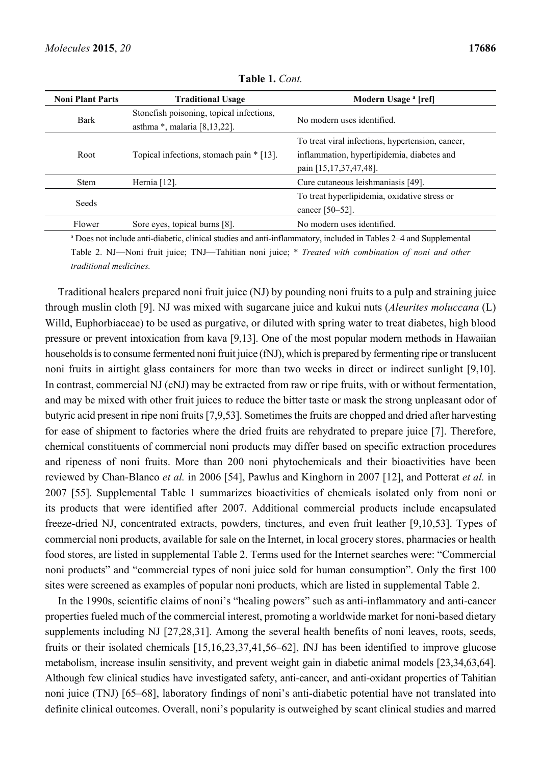| <b>Noni Plant Parts</b>                                                                    | <b>Traditional Usage</b>                 | Modern Usage <sup>a</sup> [ref]                  |
|--------------------------------------------------------------------------------------------|------------------------------------------|--------------------------------------------------|
| Stonefish poisoning, topical infections,<br><b>Bark</b><br>asthma $*$ , malaria [8,13,22]. |                                          | No modern uses identified.                       |
|                                                                                            |                                          | To treat viral infections, hypertension, cancer, |
| Root                                                                                       | Topical infections, stomach pain * [13]. | inflammation, hyperlipidemia, diabetes and       |
|                                                                                            |                                          | pain [15, 17, 37, 47, 48].                       |
| <b>Stem</b>                                                                                | Hernia $[12]$ .                          | Cure cutaneous leishmaniasis [49].               |
| Seeds                                                                                      |                                          | To treat hyperlipidemia, oxidative stress or     |
|                                                                                            |                                          | cancer [50–52].                                  |
| Flower                                                                                     | Sore eves, topical burns [8].            | No modern uses identified.                       |

**Table 1.** *Cont.* 

a Does not include anti-diabetic, clinical studies and anti-inflammatory, included in Tables 2–4 and Supplemental Table 2. NJ—Noni fruit juice; TNJ—Tahitian noni juice; \* *Treated with combination of noni and other traditional medicines.*

Traditional healers prepared noni fruit juice (NJ) by pounding noni fruits to a pulp and straining juice through muslin cloth [9]. NJ was mixed with sugarcane juice and kukui nuts (*Aleurites moluccana* (L) Willd, Euphorbiaceae) to be used as purgative, or diluted with spring water to treat diabetes, high blood pressure or prevent intoxication from kava [9,13]. One of the most popular modern methods in Hawaiian households is to consume fermented noni fruit juice (fNJ), which is prepared by fermenting ripe or translucent noni fruits in airtight glass containers for more than two weeks in direct or indirect sunlight [9,10]. In contrast, commercial NJ (cNJ) may be extracted from raw or ripe fruits, with or without fermentation, and may be mixed with other fruit juices to reduce the bitter taste or mask the strong unpleasant odor of butyric acid present in ripe noni fruits [7,9,53]. Sometimes the fruits are chopped and dried after harvesting for ease of shipment to factories where the dried fruits are rehydrated to prepare juice [7]. Therefore, chemical constituents of commercial noni products may differ based on specific extraction procedures and ripeness of noni fruits. More than 200 noni phytochemicals and their bioactivities have been reviewed by Chan-Blanco *et al.* in 2006 [54], Pawlus and Kinghorn in 2007 [12], and Potterat *et al.* in 2007 [55]. Supplemental Table 1 summarizes bioactivities of chemicals isolated only from noni or its products that were identified after 2007. Additional commercial products include encapsulated freeze-dried NJ, concentrated extracts, powders, tinctures, and even fruit leather [9,10,53]. Types of commercial noni products, available for sale on the Internet, in local grocery stores, pharmacies or health food stores, are listed in supplemental Table 2. Terms used for the Internet searches were: "Commercial noni products" and "commercial types of noni juice sold for human consumption". Only the first 100 sites were screened as examples of popular noni products, which are listed in supplemental Table 2.

In the 1990s, scientific claims of noni's "healing powers" such as anti-inflammatory and anti-cancer properties fueled much of the commercial interest, promoting a worldwide market for noni-based dietary supplements including NJ [27,28,31]. Among the several health benefits of noni leaves, roots, seeds, fruits or their isolated chemicals [15,16,23,37,41,56–62], fNJ has been identified to improve glucose metabolism, increase insulin sensitivity, and prevent weight gain in diabetic animal models [23,34,63,64]. Although few clinical studies have investigated safety, anti-cancer, and anti-oxidant properties of Tahitian noni juice (TNJ) [65–68], laboratory findings of noni's anti-diabetic potential have not translated into definite clinical outcomes. Overall, noni's popularity is outweighed by scant clinical studies and marred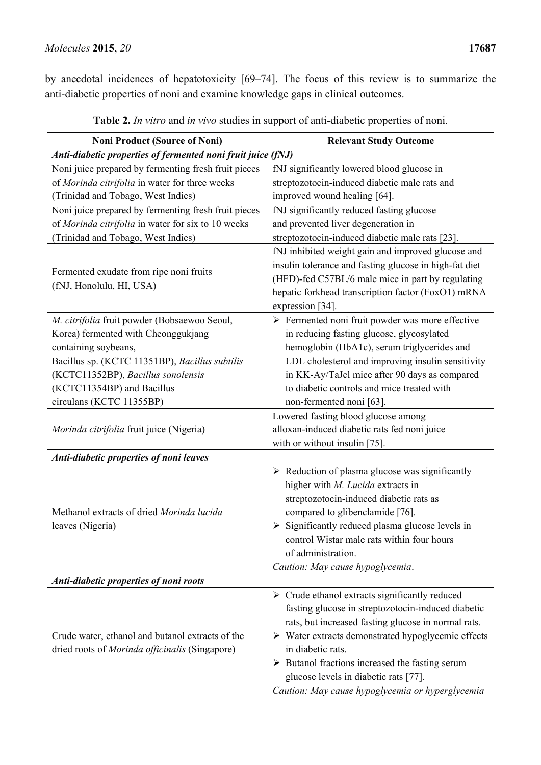by anecdotal incidences of hepatotoxicity [69–74]. The focus of this review is to summarize the anti-diabetic properties of noni and examine knowledge gaps in clinical outcomes.

| <b>Noni Product (Source of Noni)</b>                                                               | <b>Relevant Study Outcome</b>                                                                                                                                                                                                                                                                                                                                                   |
|----------------------------------------------------------------------------------------------------|---------------------------------------------------------------------------------------------------------------------------------------------------------------------------------------------------------------------------------------------------------------------------------------------------------------------------------------------------------------------------------|
| Anti-diabetic properties of fermented noni fruit juice (fNJ)                                       |                                                                                                                                                                                                                                                                                                                                                                                 |
| Noni juice prepared by fermenting fresh fruit pieces                                               | fNJ significantly lowered blood glucose in                                                                                                                                                                                                                                                                                                                                      |
| of Morinda citrifolia in water for three weeks                                                     | streptozotocin-induced diabetic male rats and                                                                                                                                                                                                                                                                                                                                   |
| (Trinidad and Tobago, West Indies)                                                                 | improved wound healing [64].                                                                                                                                                                                                                                                                                                                                                    |
| Noni juice prepared by fermenting fresh fruit pieces                                               | fNJ significantly reduced fasting glucose                                                                                                                                                                                                                                                                                                                                       |
| of Morinda citrifolia in water for six to 10 weeks                                                 | and prevented liver degeneration in                                                                                                                                                                                                                                                                                                                                             |
| (Trinidad and Tobago, West Indies)                                                                 | streptozotocin-induced diabetic male rats [23].                                                                                                                                                                                                                                                                                                                                 |
| Fermented exudate from ripe noni fruits<br>(fNJ, Honolulu, HI, USA)                                | fNJ inhibited weight gain and improved glucose and<br>insulin tolerance and fasting glucose in high-fat diet<br>(HFD)-fed C57BL/6 male mice in part by regulating<br>hepatic forkhead transcription factor (FoxO1) mRNA<br>expression [34].                                                                                                                                     |
| M. citrifolia fruit powder (Bobsaewoo Seoul,                                                       | > Fermented noni fruit powder was more effective                                                                                                                                                                                                                                                                                                                                |
| Korea) fermented with Cheonggukjang                                                                | in reducing fasting glucose, glycosylated                                                                                                                                                                                                                                                                                                                                       |
| containing soybeans,                                                                               | hemoglobin (HbA1c), serum triglycerides and                                                                                                                                                                                                                                                                                                                                     |
| Bacillus sp. (KCTC 11351BP), Bacillus subtilis                                                     | LDL cholesterol and improving insulin sensitivity                                                                                                                                                                                                                                                                                                                               |
| (KCTC11352BP), Bacillus sonolensis                                                                 | in KK-Ay/TaJcl mice after 90 days as compared                                                                                                                                                                                                                                                                                                                                   |
| (KCTC11354BP) and Bacillus                                                                         | to diabetic controls and mice treated with                                                                                                                                                                                                                                                                                                                                      |
| circulans (KCTC 11355BP)                                                                           | non-fermented noni [63].                                                                                                                                                                                                                                                                                                                                                        |
|                                                                                                    | Lowered fasting blood glucose among                                                                                                                                                                                                                                                                                                                                             |
| Morinda citrifolia fruit juice (Nigeria)                                                           | alloxan-induced diabetic rats fed noni juice                                                                                                                                                                                                                                                                                                                                    |
|                                                                                                    | with or without insulin $[75]$ .                                                                                                                                                                                                                                                                                                                                                |
| Anti-diabetic properties of noni leaves                                                            |                                                                                                                                                                                                                                                                                                                                                                                 |
|                                                                                                    | $\triangleright$ Reduction of plasma glucose was significantly                                                                                                                                                                                                                                                                                                                  |
|                                                                                                    | higher with M. Lucida extracts in                                                                                                                                                                                                                                                                                                                                               |
|                                                                                                    | streptozotocin-induced diabetic rats as                                                                                                                                                                                                                                                                                                                                         |
| Methanol extracts of dried Morinda lucida                                                          | compared to glibenclamide [76].                                                                                                                                                                                                                                                                                                                                                 |
| leaves (Nigeria)                                                                                   | Significantly reduced plasma glucose levels in                                                                                                                                                                                                                                                                                                                                  |
|                                                                                                    | control Wistar male rats within four hours                                                                                                                                                                                                                                                                                                                                      |
|                                                                                                    | of administration.                                                                                                                                                                                                                                                                                                                                                              |
|                                                                                                    | Caution: May cause hypoglycemia.                                                                                                                                                                                                                                                                                                                                                |
| Anti-diabetic properties of noni roots                                                             |                                                                                                                                                                                                                                                                                                                                                                                 |
|                                                                                                    |                                                                                                                                                                                                                                                                                                                                                                                 |
|                                                                                                    |                                                                                                                                                                                                                                                                                                                                                                                 |
|                                                                                                    |                                                                                                                                                                                                                                                                                                                                                                                 |
|                                                                                                    |                                                                                                                                                                                                                                                                                                                                                                                 |
|                                                                                                    |                                                                                                                                                                                                                                                                                                                                                                                 |
|                                                                                                    |                                                                                                                                                                                                                                                                                                                                                                                 |
|                                                                                                    | Caution: May cause hypoglycemia or hyperglycemia                                                                                                                                                                                                                                                                                                                                |
| Crude water, ethanol and butanol extracts of the<br>dried roots of Morinda officinalis (Singapore) | $\triangleright$ Crude ethanol extracts significantly reduced<br>fasting glucose in streptozotocin-induced diabetic<br>rats, but increased fasting glucose in normal rats.<br>$\triangleright$ Water extracts demonstrated hypoglycemic effects<br>in diabetic rats.<br>$\triangleright$ Butanol fractions increased the fasting serum<br>glucose levels in diabetic rats [77]. |

**Table 2.** *In vitro* and *in vivo* studies in support of anti-diabetic properties of noni.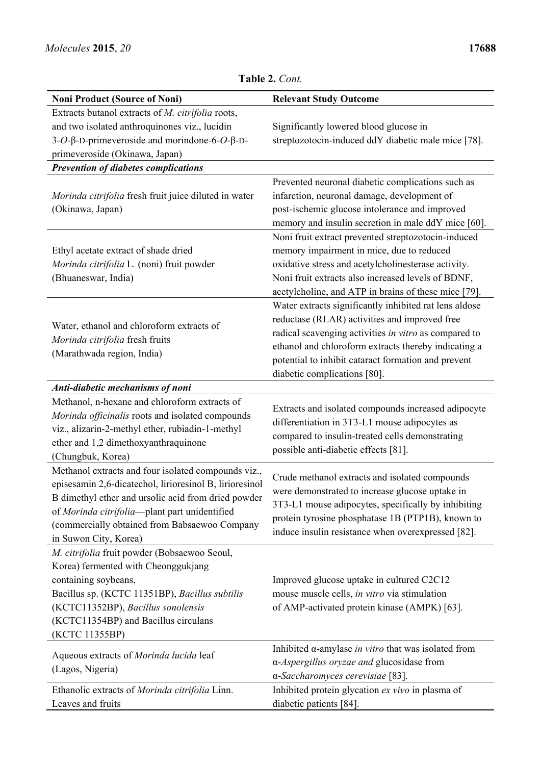|                                                                                                                                                                                                                                                                                                  | 1 adie <i>2</i> . C <i>on</i> t.                                                                                                                                                                                                                                                                                |
|--------------------------------------------------------------------------------------------------------------------------------------------------------------------------------------------------------------------------------------------------------------------------------------------------|-----------------------------------------------------------------------------------------------------------------------------------------------------------------------------------------------------------------------------------------------------------------------------------------------------------------|
| <b>Noni Product (Source of Noni)</b>                                                                                                                                                                                                                                                             | <b>Relevant Study Outcome</b>                                                                                                                                                                                                                                                                                   |
| Extracts butanol extracts of M. citrifolia roots,                                                                                                                                                                                                                                                |                                                                                                                                                                                                                                                                                                                 |
| and two isolated anthroquinones viz., lucidin                                                                                                                                                                                                                                                    | Significantly lowered blood glucose in                                                                                                                                                                                                                                                                          |
| 3- $O$ -β-D-primeveroside and morindone-6- $O$ -β-D-                                                                                                                                                                                                                                             | streptozotocin-induced ddY diabetic male mice [78].                                                                                                                                                                                                                                                             |
| primeveroside (Okinawa, Japan)                                                                                                                                                                                                                                                                   |                                                                                                                                                                                                                                                                                                                 |
| <b>Prevention of diabetes complications</b>                                                                                                                                                                                                                                                      |                                                                                                                                                                                                                                                                                                                 |
| Morinda citrifolia fresh fruit juice diluted in water<br>(Okinawa, Japan)                                                                                                                                                                                                                        | Prevented neuronal diabetic complications such as<br>infarction, neuronal damage, development of<br>post-ischemic glucose intolerance and improved<br>memory and insulin secretion in male ddY mice [60].                                                                                                       |
| Ethyl acetate extract of shade dried<br>Morinda citrifolia L. (noni) fruit powder<br>(Bhuaneswar, India)                                                                                                                                                                                         | Noni fruit extract prevented streptozotocin-induced<br>memory impairment in mice, due to reduced<br>oxidative stress and acetylcholinesterase activity.<br>Noni fruit extracts also increased levels of BDNF,<br>acetylcholine, and ATP in brains of these mice [79].                                           |
| Water, ethanol and chloroform extracts of<br>Morinda citrifolia fresh fruits<br>(Marathwada region, India)                                                                                                                                                                                       | Water extracts significantly inhibited rat lens aldose<br>reductase (RLAR) activities and improved free<br>radical scavenging activities in vitro as compared to<br>ethanol and chloroform extracts thereby indicating a<br>potential to inhibit cataract formation and prevent<br>diabetic complications [80]. |
| Anti-diabetic mechanisms of noni                                                                                                                                                                                                                                                                 |                                                                                                                                                                                                                                                                                                                 |
| Methanol, n-hexane and chloroform extracts of<br>Morinda officinalis roots and isolated compounds<br>viz., alizarin-2-methyl ether, rubiadin-1-methyl<br>ether and 1,2 dimethoxyanthraquinone<br>(Chungbuk, Korea)                                                                               | Extracts and isolated compounds increased adipocyte<br>differentiation in 3T3-L1 mouse adipocytes as<br>compared to insulin-treated cells demonstrating<br>possible anti-diabetic effects [81].                                                                                                                 |
| Methanol extracts and four isolated compounds viz.,<br>episesamin 2,6-dicatechol, lirioresinol B, lirioresinol<br>B dimethyl ether and ursolic acid from dried powder<br>of Morinda citrifolia-plant part unidentified<br>(commercially obtained from Babsaewoo Company<br>in Suwon City, Korea) | Crude methanol extracts and isolated compounds<br>were demonstrated to increase glucose uptake in<br>3T3-L1 mouse adipocytes, specifically by inhibiting<br>protein tyrosine phosphatase 1B (PTP1B), known to<br>induce insulin resistance when overexpressed [82].                                             |
| M. citrifolia fruit powder (Bobsaewoo Seoul,<br>Korea) fermented with Cheonggukjang<br>containing soybeans,<br>Bacillus sp. (KCTC 11351BP), Bacillus subtilis<br>(KCTC11352BP), Bacillus sonolensis<br>(KCTC11354BP) and Bacillus circulans<br>(KCTC 11355BP)                                    | Improved glucose uptake in cultured C2C12<br>mouse muscle cells, in vitro via stimulation<br>of AMP-activated protein kinase (AMPK) [63].                                                                                                                                                                       |
| Aqueous extracts of Morinda lucida leaf<br>(Lagos, Nigeria)                                                                                                                                                                                                                                      | Inhibited $\alpha$ -amylase in vitro that was isolated from<br>α-Aspergillus oryzae and glucosidase from<br>α-Saccharomyces cerevisiae [83].                                                                                                                                                                    |
| Ethanolic extracts of Morinda citrifolia Linn.<br>Leaves and fruits                                                                                                                                                                                                                              | Inhibited protein glycation ex vivo in plasma of<br>diabetic patients [84].                                                                                                                                                                                                                                     |

**Table 2.** *Cont.*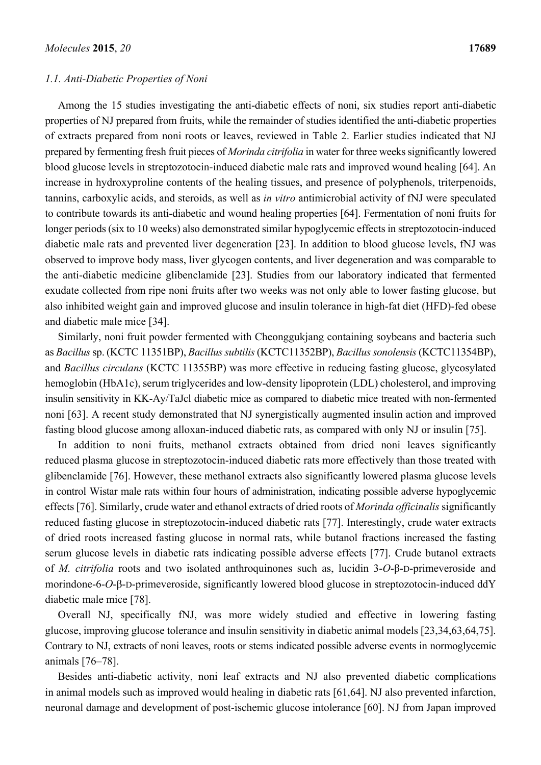#### *1.1. Anti-Diabetic Properties of Noni*

Among the 15 studies investigating the anti-diabetic effects of noni, six studies report anti-diabetic properties of NJ prepared from fruits, while the remainder of studies identified the anti-diabetic properties of extracts prepared from noni roots or leaves, reviewed in Table 2. Earlier studies indicated that NJ prepared by fermenting fresh fruit pieces of *Morinda citrifolia* in water for three weeks significantly lowered blood glucose levels in streptozotocin-induced diabetic male rats and improved wound healing [64]. An increase in hydroxyproline contents of the healing tissues, and presence of polyphenols, triterpenoids, tannins, carboxylic acids, and steroids, as well as *in vitro* antimicrobial activity of fNJ were speculated to contribute towards its anti-diabetic and wound healing properties [64]. Fermentation of noni fruits for longer periods (six to 10 weeks) also demonstrated similar hypoglycemic effects in streptozotocin-induced diabetic male rats and prevented liver degeneration [23]. In addition to blood glucose levels, fNJ was observed to improve body mass, liver glycogen contents, and liver degeneration and was comparable to the anti-diabetic medicine glibenclamide [23]. Studies from our laboratory indicated that fermented exudate collected from ripe noni fruits after two weeks was not only able to lower fasting glucose, but also inhibited weight gain and improved glucose and insulin tolerance in high-fat diet (HFD)-fed obese and diabetic male mice [34].

Similarly, noni fruit powder fermented with Cheonggukjang containing soybeans and bacteria such as *Bacillus* sp. (KCTC 11351BP), *Bacillus subtilis* (KCTC11352BP), *Bacillus sonolensis* (KCTC11354BP), and *Bacillus circulans* (KCTC 11355BP) was more effective in reducing fasting glucose, glycosylated hemoglobin (HbA1c), serum triglycerides and low-density lipoprotein (LDL) cholesterol, and improving insulin sensitivity in KK-Ay/TaJcl diabetic mice as compared to diabetic mice treated with non-fermented noni [63]. A recent study demonstrated that NJ synergistically augmented insulin action and improved fasting blood glucose among alloxan-induced diabetic rats, as compared with only NJ or insulin [75].

In addition to noni fruits, methanol extracts obtained from dried noni leaves significantly reduced plasma glucose in streptozotocin-induced diabetic rats more effectively than those treated with glibenclamide [76]. However, these methanol extracts also significantly lowered plasma glucose levels in control Wistar male rats within four hours of administration, indicating possible adverse hypoglycemic effects [76]. Similarly, crude water and ethanol extracts of dried roots of *Morinda officinalis* significantly reduced fasting glucose in streptozotocin-induced diabetic rats [77]. Interestingly, crude water extracts of dried roots increased fasting glucose in normal rats, while butanol fractions increased the fasting serum glucose levels in diabetic rats indicating possible adverse effects [77]. Crude butanol extracts of *M. citrifolia* roots and two isolated anthroquinones such as, lucidin 3-*O*-β-D-primeveroside and morindone-6-*O*-β-D-primeveroside, significantly lowered blood glucose in streptozotocin-induced ddY diabetic male mice [78].

Overall NJ, specifically fNJ, was more widely studied and effective in lowering fasting glucose, improving glucose tolerance and insulin sensitivity in diabetic animal models [23,34,63,64,75]. Contrary to NJ, extracts of noni leaves, roots or stems indicated possible adverse events in normoglycemic animals [76–78].

Besides anti-diabetic activity, noni leaf extracts and NJ also prevented diabetic complications in animal models such as improved would healing in diabetic rats [61,64]. NJ also prevented infarction, neuronal damage and development of post-ischemic glucose intolerance [60]. NJ from Japan improved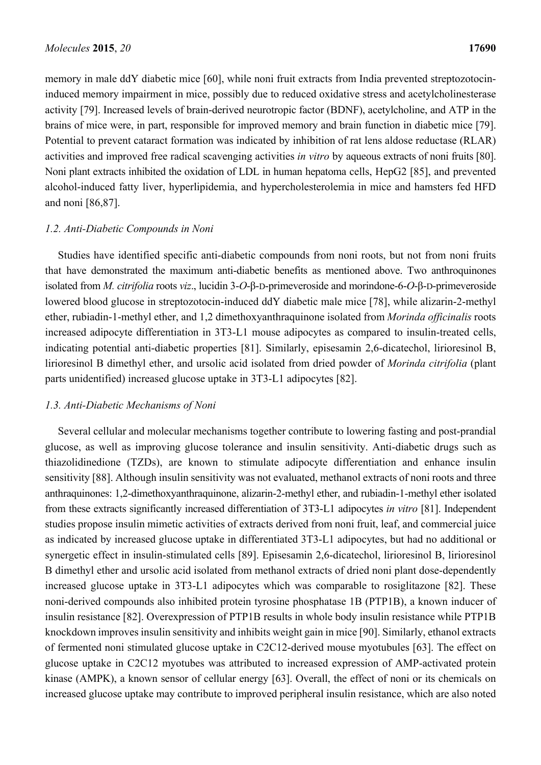memory in male ddY diabetic mice [60], while noni fruit extracts from India prevented streptozotocininduced memory impairment in mice, possibly due to reduced oxidative stress and acetylcholinesterase activity [79]. Increased levels of brain-derived neurotropic factor (BDNF), acetylcholine, and ATP in the brains of mice were, in part, responsible for improved memory and brain function in diabetic mice [79]. Potential to prevent cataract formation was indicated by inhibition of rat lens aldose reductase (RLAR) activities and improved free radical scavenging activities *in vitro* by aqueous extracts of noni fruits [80]. Noni plant extracts inhibited the oxidation of LDL in human hepatoma cells, HepG2 [85], and prevented alcohol-induced fatty liver, hyperlipidemia, and hypercholesterolemia in mice and hamsters fed HFD and noni [86,87].

#### *1.2. Anti-Diabetic Compounds in Noni*

Studies have identified specific anti-diabetic compounds from noni roots, but not from noni fruits that have demonstrated the maximum anti-diabetic benefits as mentioned above. Two anthroquinones isolated from *M. citrifolia* roots *viz*., lucidin 3-*O*-β-D-primeveroside and morindone-6-*O*-β-D-primeveroside lowered blood glucose in streptozotocin-induced ddY diabetic male mice [78], while alizarin-2-methyl ether, rubiadin-1-methyl ether, and 1,2 dimethoxyanthraquinone isolated from *Morinda officinalis* roots increased adipocyte differentiation in 3T3-L1 mouse adipocytes as compared to insulin-treated cells, indicating potential anti-diabetic properties [81]. Similarly, episesamin 2,6-dicatechol, lirioresinol B, lirioresinol B dimethyl ether, and ursolic acid isolated from dried powder of *Morinda citrifolia* (plant parts unidentified) increased glucose uptake in 3T3-L1 adipocytes [82].

#### *1.3. Anti-Diabetic Mechanisms of Noni*

Several cellular and molecular mechanisms together contribute to lowering fasting and post-prandial glucose, as well as improving glucose tolerance and insulin sensitivity. Anti-diabetic drugs such as thiazolidinedione (TZDs), are known to stimulate adipocyte differentiation and enhance insulin sensitivity [88]. Although insulin sensitivity was not evaluated, methanol extracts of noni roots and three anthraquinones: 1,2-dimethoxyanthraquinone, alizarin-2-methyl ether, and rubiadin-1-methyl ether isolated from these extracts significantly increased differentiation of 3T3-L1 adipocytes *in vitro* [81]. Independent studies propose insulin mimetic activities of extracts derived from noni fruit, leaf, and commercial juice as indicated by increased glucose uptake in differentiated 3T3-L1 adipocytes, but had no additional or synergetic effect in insulin-stimulated cells [89]. Episesamin 2,6-dicatechol, lirioresinol B, lirioresinol B dimethyl ether and ursolic acid isolated from methanol extracts of dried noni plant dose-dependently increased glucose uptake in 3T3-L1 adipocytes which was comparable to rosiglitazone [82]. These noni-derived compounds also inhibited protein tyrosine phosphatase 1B (PTP1B), a known inducer of insulin resistance [82]. Overexpression of PTP1B results in whole body insulin resistance while PTP1B knockdown improves insulin sensitivity and inhibits weight gain in mice [90]. Similarly, ethanol extracts of fermented noni stimulated glucose uptake in C2C12-derived mouse myotubules [63]. The effect on glucose uptake in C2C12 myotubes was attributed to increased expression of AMP-activated protein kinase (AMPK), a known sensor of cellular energy [63]. Overall, the effect of noni or its chemicals on increased glucose uptake may contribute to improved peripheral insulin resistance, which are also noted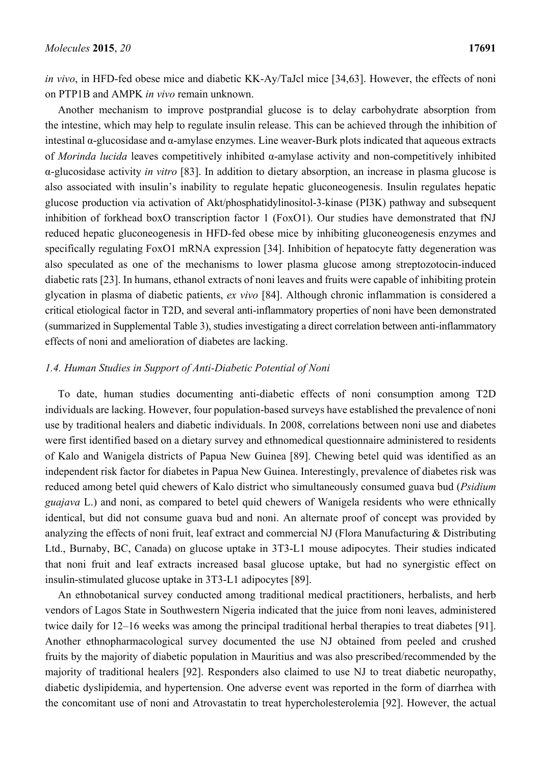*in vivo*, in HFD-fed obese mice and diabetic KK-Ay/TaJcl mice [34,63]. However, the effects of noni on PTP1B and AMPK *in vivo* remain unknown.

Another mechanism to improve postprandial glucose is to delay carbohydrate absorption from the intestine, which may help to regulate insulin release. This can be achieved through the inhibition of intestinal α-glucosidase and α-amylase enzymes. Line weaver-Burk plots indicated that aqueous extracts of *Morinda lucida* leaves competitively inhibited α-amylase activity and non-competitively inhibited α-glucosidase activity *in vitro* [83]. In addition to dietary absorption, an increase in plasma glucose is also associated with insulin's inability to regulate hepatic gluconeogenesis. Insulin regulates hepatic glucose production via activation of Akt/phosphatidylinositol-3-kinase (PI3K) pathway and subsequent inhibition of forkhead boxO transcription factor 1 (FoxO1). Our studies have demonstrated that fNJ reduced hepatic gluconeogenesis in HFD-fed obese mice by inhibiting gluconeogenesis enzymes and specifically regulating FoxO1 mRNA expression [34]. Inhibition of hepatocyte fatty degeneration was also speculated as one of the mechanisms to lower plasma glucose among streptozotocin-induced diabetic rats [23]. In humans, ethanol extracts of noni leaves and fruits were capable of inhibiting protein glycation in plasma of diabetic patients, *ex vivo* [84]. Although chronic inflammation is considered a critical etiological factor in T2D, and several anti-inflammatory properties of noni have been demonstrated (summarized in Supplemental Table 3), studies investigating a direct correlation between anti-inflammatory effects of noni and amelioration of diabetes are lacking.

#### *1.4. Human Studies in Support of Anti-Diabetic Potential of Noni*

To date, human studies documenting anti-diabetic effects of noni consumption among T2D individuals are lacking. However, four population-based surveys have established the prevalence of noni use by traditional healers and diabetic individuals. In 2008, correlations between noni use and diabetes were first identified based on a dietary survey and ethnomedical questionnaire administered to residents of Kalo and Wanigela districts of Papua New Guinea [89]. Chewing betel quid was identified as an independent risk factor for diabetes in Papua New Guinea. Interestingly, prevalence of diabetes risk was reduced among betel quid chewers of Kalo district who simultaneously consumed guava bud (*Psidium guajava* L.) and noni, as compared to betel quid chewers of Wanigela residents who were ethnically identical, but did not consume guava bud and noni. An alternate proof of concept was provided by analyzing the effects of noni fruit, leaf extract and commercial NJ (Flora Manufacturing & Distributing Ltd., Burnaby, BC, Canada) on glucose uptake in 3T3-L1 mouse adipocytes. Their studies indicated that noni fruit and leaf extracts increased basal glucose uptake, but had no synergistic effect on insulin-stimulated glucose uptake in 3T3-L1 adipocytes [89].

An ethnobotanical survey conducted among traditional medical practitioners, herbalists, and herb vendors of Lagos State in Southwestern Nigeria indicated that the juice from noni leaves, administered twice daily for 12–16 weeks was among the principal traditional herbal therapies to treat diabetes [91]. Another ethnopharmacological survey documented the use NJ obtained from peeled and crushed fruits by the majority of diabetic population in Mauritius and was also prescribed/recommended by the majority of traditional healers [92]. Responders also claimed to use NJ to treat diabetic neuropathy, diabetic dyslipidemia, and hypertension. One adverse event was reported in the form of diarrhea with the concomitant use of noni and Atrovastatin to treat hypercholesterolemia [92]. However, the actual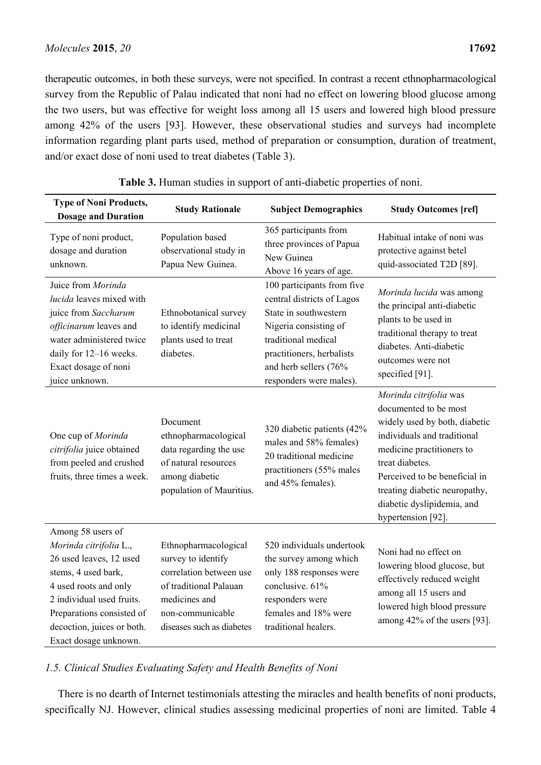therapeutic outcomes, in both these surveys, were not specified. In contrast a recent ethnopharmacological survey from the Republic of Palau indicated that noni had no effect on lowering blood glucose among the two users, but was effective for weight loss among all 15 users and lowered high blood pressure among 42% of the users [93]. However, these observational studies and surveys had incomplete information regarding plant parts used, method of preparation or consumption, duration of treatment, and/or exact dose of noni used to treat diabetes (Table 3).

| <b>Type of Noni Products,</b><br><b>Dosage and Duration</b>                                                                                                                                                                             | <b>Study Rationale</b>                                                                                                                                            | <b>Subject Demographics</b>                                                                                                                                                                                        | <b>Study Outcomes [ref]</b>                                                                                                                                                                                                                                                           |
|-----------------------------------------------------------------------------------------------------------------------------------------------------------------------------------------------------------------------------------------|-------------------------------------------------------------------------------------------------------------------------------------------------------------------|--------------------------------------------------------------------------------------------------------------------------------------------------------------------------------------------------------------------|---------------------------------------------------------------------------------------------------------------------------------------------------------------------------------------------------------------------------------------------------------------------------------------|
| Type of noni product,<br>dosage and duration<br>unknown.                                                                                                                                                                                | Population based<br>observational study in<br>Papua New Guinea.                                                                                                   | 365 participants from<br>three provinces of Papua<br>New Guinea<br>Above 16 years of age.                                                                                                                          | Habitual intake of noni was<br>protective against betel<br>quid-associated T2D [89].                                                                                                                                                                                                  |
| Juice from Morinda<br>lucida leaves mixed with<br>juice from Saccharum<br>officinarum leaves and<br>water administered twice<br>daily for 12-16 weeks.<br>Exact dosage of noni<br>juice unknown.                                        | Ethnobotanical survey<br>to identify medicinal<br>plants used to treat<br>diabetes.                                                                               | 100 participants from five<br>central districts of Lagos<br>State in southwestern<br>Nigeria consisting of<br>traditional medical<br>practitioners, herbalists<br>and herb sellers (76%<br>responders were males). | Morinda lucida was among<br>the principal anti-diabetic<br>plants to be used in<br>traditional therapy to treat<br>diabetes. Anti-diabetic<br>outcomes were not<br>specified [91].                                                                                                    |
| One cup of Morinda<br>citrifolia juice obtained<br>from peeled and crushed<br>fruits, three times a week.                                                                                                                               | Document<br>ethnopharmacological<br>data regarding the use<br>of natural resources<br>among diabetic<br>population of Mauritius.                                  | 320 diabetic patients (42%<br>males and 58% females)<br>20 traditional medicine<br>practitioners (55% males<br>and 45% females).                                                                                   | Morinda citrifolia was<br>documented to be most<br>widely used by both, diabetic<br>individuals and traditional<br>medicine practitioners to<br>treat diabetes.<br>Perceived to be beneficial in<br>treating diabetic neuropathy,<br>diabetic dyslipidemia, and<br>hypertension [92]. |
| Among 58 users of<br>Morinda citrifolia L.,<br>26 used leaves, 12 used<br>stems, 4 used bark,<br>4 used roots and only<br>2 individual used fruits.<br>Preparations consisted of<br>decoction, juices or both.<br>Exact dosage unknown. | Ethnopharmacological<br>survey to identify<br>correlation between use<br>of traditional Palauan<br>medicines and<br>non-communicable<br>diseases such as diabetes | 520 individuals undertook<br>the survey among which<br>only 188 responses were<br>conclusive. 61%<br>responders were<br>females and 18% were<br>traditional healers.                                               | Noni had no effect on<br>lowering blood glucose, but<br>effectively reduced weight<br>among all 15 users and<br>lowered high blood pressure<br>among 42% of the users [93].                                                                                                           |

| Table 3. Human studies in support of anti-diabetic properties of noni. |  |  |
|------------------------------------------------------------------------|--|--|

*1.5. Clinical Studies Evaluating Safety and Health Benefits of Noni* 

There is no dearth of Internet testimonials attesting the miracles and health benefits of noni products, specifically NJ. However, clinical studies assessing medicinal properties of noni are limited. Table 4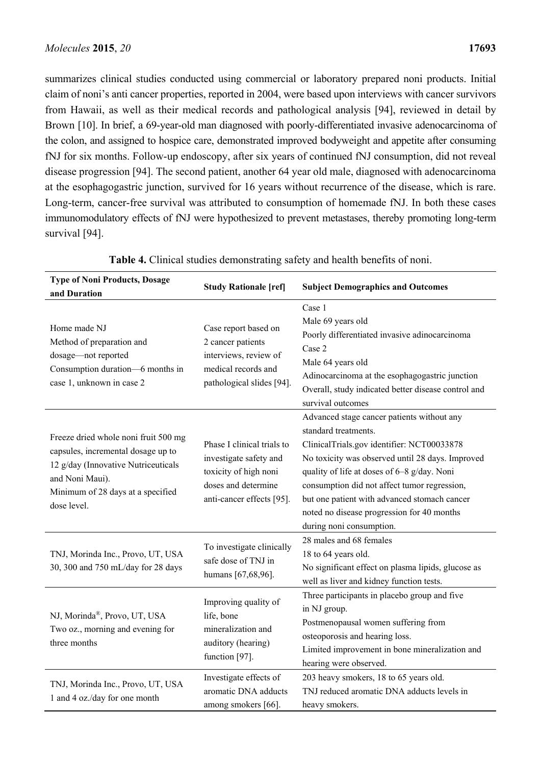summarizes clinical studies conducted using commercial or laboratory prepared noni products. Initial claim of noni's anti cancer properties, reported in 2004, were based upon interviews with cancer survivors from Hawaii, as well as their medical records and pathological analysis [94], reviewed in detail by Brown [10]. In brief, a 69-year-old man diagnosed with poorly-differentiated invasive adenocarcinoma of the colon, and assigned to hospice care, demonstrated improved bodyweight and appetite after consuming fNJ for six months. Follow-up endoscopy, after six years of continued fNJ consumption, did not reveal disease progression [94]. The second patient, another 64 year old male, diagnosed with adenocarcinoma at the esophagogastric junction, survived for 16 years without recurrence of the disease, which is rare. Long-term, cancer-free survival was attributed to consumption of homemade fNJ. In both these cases immunomodulatory effects of fNJ were hypothesized to prevent metastases, thereby promoting long-term survival [94].

| <b>Type of Noni Products, Dosage</b><br>and Duration                                                                                                                                     | <b>Study Rationale [ref]</b>                                                                                                      | <b>Subject Demographics and Outcomes</b>                                                                                                                                                                                                                                                                                                                                                      |  |
|------------------------------------------------------------------------------------------------------------------------------------------------------------------------------------------|-----------------------------------------------------------------------------------------------------------------------------------|-----------------------------------------------------------------------------------------------------------------------------------------------------------------------------------------------------------------------------------------------------------------------------------------------------------------------------------------------------------------------------------------------|--|
| Home made NJ<br>Method of preparation and<br>dosage-not reported<br>Consumption duration-6 months in<br>case 1, unknown in case 2                                                        | Case report based on<br>2 cancer patients<br>interviews, review of<br>medical records and<br>pathological slides [94].            | Case 1<br>Male 69 years old<br>Poorly differentiated invasive adinocarcinoma<br>Case 2<br>Male 64 years old<br>Adinocarcinoma at the esophagogastric junction<br>Overall, study indicated better disease control and<br>survival outcomes                                                                                                                                                     |  |
| Freeze dried whole noni fruit 500 mg<br>capsules, incremental dosage up to<br>12 g/day (Innovative Nutriceuticals<br>and Noni Maui).<br>Minimum of 28 days at a specified<br>dose level. | Phase I clinical trials to<br>investigate safety and<br>toxicity of high noni<br>doses and determine<br>anti-cancer effects [95]. | Advanced stage cancer patients without any<br>standard treatments.<br>ClinicalTrials.gov identifier: NCT00033878<br>No toxicity was observed until 28 days. Improved<br>quality of life at doses of 6-8 g/day. Noni<br>consumption did not affect tumor regression,<br>but one patient with advanced stomach cancer<br>noted no disease progression for 40 months<br>during noni consumption. |  |
| TNJ, Morinda Inc., Provo, UT, USA<br>30, 300 and 750 mL/day for 28 days                                                                                                                  | To investigate clinically<br>safe dose of TNJ in<br>humans [67,68,96].                                                            | 28 males and 68 females<br>18 to 64 years old.<br>No significant effect on plasma lipids, glucose as<br>well as liver and kidney function tests.                                                                                                                                                                                                                                              |  |
| NJ, Morinda®, Provo, UT, USA<br>Two oz., morning and evening for<br>three months                                                                                                         | Improving quality of<br>life, bone<br>mineralization and<br>auditory (hearing)<br>function [97].                                  | Three participants in placebo group and five<br>in NJ group.<br>Postmenopausal women suffering from<br>osteoporosis and hearing loss.<br>Limited improvement in bone mineralization and<br>hearing were observed.                                                                                                                                                                             |  |
| TNJ, Morinda Inc., Provo, UT, USA<br>1 and 4 oz./day for one month                                                                                                                       | Investigate effects of<br>aromatic DNA adducts<br>among smokers [66].                                                             | 203 heavy smokers, 18 to 65 years old.<br>TNJ reduced aromatic DNA adducts levels in<br>heavy smokers.                                                                                                                                                                                                                                                                                        |  |

| Table 4. Clinical studies demonstrating safety and health benefits of noni. |  |  |  |  |  |  |  |  |  |
|-----------------------------------------------------------------------------|--|--|--|--|--|--|--|--|--|
|-----------------------------------------------------------------------------|--|--|--|--|--|--|--|--|--|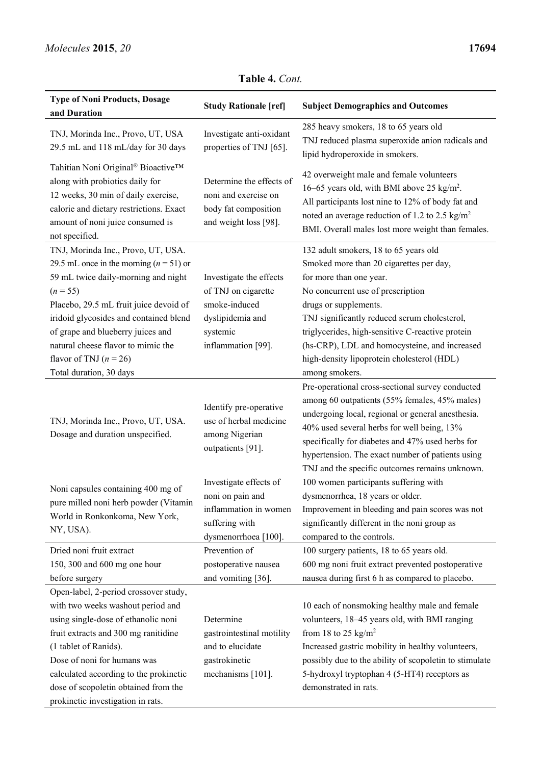| <b>Type of Noni Products, Dosage</b><br>and Duration                                                                                                                                                                                                                                                                                                       | <b>Study Rationale [ref]</b>                                                                                          | <b>Subject Demographics and Outcomes</b>                                                                                                                                                                                                                                                                                                                                                       |  |  |
|------------------------------------------------------------------------------------------------------------------------------------------------------------------------------------------------------------------------------------------------------------------------------------------------------------------------------------------------------------|-----------------------------------------------------------------------------------------------------------------------|------------------------------------------------------------------------------------------------------------------------------------------------------------------------------------------------------------------------------------------------------------------------------------------------------------------------------------------------------------------------------------------------|--|--|
| TNJ, Morinda Inc., Provo, UT, USA<br>29.5 mL and 118 mL/day for 30 days                                                                                                                                                                                                                                                                                    | Investigate anti-oxidant<br>properties of TNJ [65].                                                                   | 285 heavy smokers, 18 to 65 years old<br>TNJ reduced plasma superoxide anion radicals and<br>lipid hydroperoxide in smokers.                                                                                                                                                                                                                                                                   |  |  |
| Tahitian Noni Original® Bioactive™<br>along with probiotics daily for<br>12 weeks, 30 min of daily exercise,<br>calorie and dietary restrictions. Exact<br>amount of noni juice consumed is<br>not specified.                                                                                                                                              | Determine the effects of<br>noni and exercise on<br>body fat composition<br>and weight loss [98].                     | 42 overweight male and female volunteers<br>16-65 years old, with BMI above 25 kg/m <sup>2</sup> .<br>All participants lost nine to 12% of body fat and<br>noted an average reduction of 1.2 to 2.5 kg/m <sup>2</sup><br>BMI. Overall males lost more weight than females.                                                                                                                     |  |  |
| TNJ, Morinda Inc., Provo, UT, USA.<br>29.5 mL once in the morning $(n = 51)$ or<br>59 mL twice daily-morning and night<br>$(n = 55)$<br>Placebo, 29.5 mL fruit juice devoid of<br>iridoid glycosides and contained blend<br>of grape and blueberry juices and<br>natural cheese flavor to mimic the<br>flavor of TNJ $(n = 26)$<br>Total duration, 30 days | Investigate the effects<br>of TNJ on cigarette<br>smoke-induced<br>dyslipidemia and<br>systemic<br>inflammation [99]. | 132 adult smokers, 18 to 65 years old<br>Smoked more than 20 cigarettes per day,<br>for more than one year.<br>No concurrent use of prescription<br>drugs or supplements.<br>TNJ significantly reduced serum cholesterol,<br>triglycerides, high-sensitive C-reactive protein<br>(hs-CRP), LDL and homocysteine, and increased<br>high-density lipoprotein cholesterol (HDL)<br>among smokers. |  |  |
| TNJ, Morinda Inc., Provo, UT, USA.<br>Dosage and duration unspecified.                                                                                                                                                                                                                                                                                     | Identify pre-operative<br>use of herbal medicine<br>among Nigerian<br>outpatients [91].                               | Pre-operational cross-sectional survey conducted<br>among 60 outpatients (55% females, 45% males)<br>undergoing local, regional or general anesthesia.<br>40% used several herbs for well being, 13%<br>specifically for diabetes and 47% used herbs for<br>hypertension. The exact number of patients using<br>TNJ and the specific outcomes remains unknown.                                 |  |  |
| Noni capsules containing 400 mg of<br>pure milled noni herb powder (Vitamin<br>World in Ronkonkoma, New York,<br>NY, USA).                                                                                                                                                                                                                                 | Investigate effects of<br>noni on pain and<br>inflammation in women<br>suffering with<br>dysmenorrhoea [100].         | 100 women participants suffering with<br>dysmenorrhea, 18 years or older.<br>Improvement in bleeding and pain scores was not<br>significantly different in the noni group as<br>compared to the controls.                                                                                                                                                                                      |  |  |
| Dried noni fruit extract<br>150, 300 and 600 mg one hour<br>before surgery                                                                                                                                                                                                                                                                                 | Prevention of<br>postoperative nausea<br>and vomiting [36].                                                           | 100 surgery patients, 18 to 65 years old.<br>600 mg noni fruit extract prevented postoperative<br>nausea during first 6 h as compared to placebo.                                                                                                                                                                                                                                              |  |  |
| Open-label, 2-period crossover study,<br>with two weeks washout period and<br>using single-dose of ethanolic noni<br>fruit extracts and 300 mg ranitidine<br>(1 tablet of Ranids).<br>Dose of noni for humans was<br>calculated according to the prokinetic<br>dose of scopoletin obtained from the<br>prokinetic investigation in rats.                   | Determine<br>gastrointestinal motility<br>and to elucidate<br>gastrokinetic<br>mechanisms [101].                      | 10 each of nonsmoking healthy male and female<br>volunteers, 18-45 years old, with BMI ranging<br>from 18 to 25 kg/m <sup>2</sup><br>Increased gastric mobility in healthy volunteers,<br>possibly due to the ability of scopoletin to stimulate<br>5-hydroxyl tryptophan 4 (5-HT4) receptors as<br>demonstrated in rats.                                                                      |  |  |

### **Table 4.** *Cont.*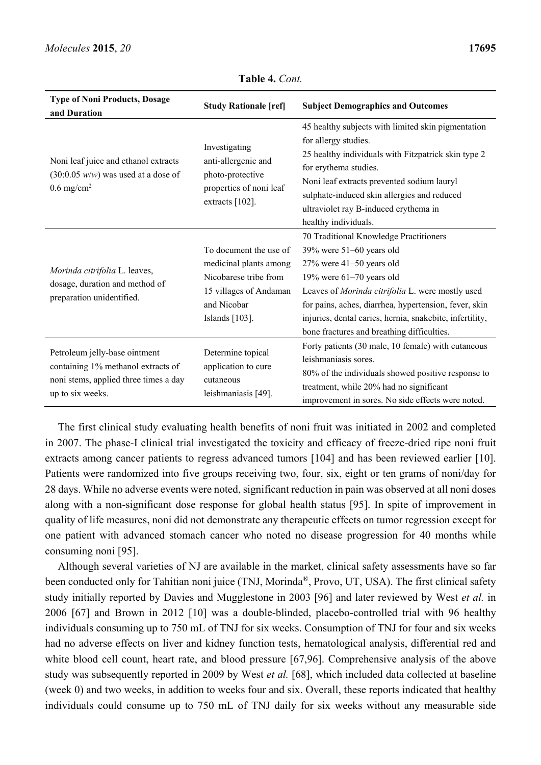| <b>Type of Noni Products, Dosage</b><br>and Duration                                                                             | <b>Study Rationale [ref]</b>                                                                                                         | <b>Subject Demographics and Outcomes</b>                                                                                                                                                                                                                                                                                                                      |
|----------------------------------------------------------------------------------------------------------------------------------|--------------------------------------------------------------------------------------------------------------------------------------|---------------------------------------------------------------------------------------------------------------------------------------------------------------------------------------------------------------------------------------------------------------------------------------------------------------------------------------------------------------|
| Noni leaf juice and ethanol extracts<br>$(30:0.05 \, w/w)$ was used at a dose of<br>$0.6 \text{ mg/cm}^2$                        | Investigating<br>anti-allergenic and<br>photo-protective<br>properties of noni leaf<br>extracts [102].                               | 45 healthy subjects with limited skin pigmentation<br>for allergy studies.<br>25 healthy individuals with Fitzpatrick skin type 2<br>for erythema studies.<br>Noni leaf extracts prevented sodium lauryl<br>sulphate-induced skin allergies and reduced<br>ultraviolet ray B-induced erythema in<br>healthy individuals.                                      |
| Morinda citrifolia L. leaves,<br>dosage, duration and method of<br>preparation unidentified.                                     | To document the use of<br>medicinal plants among<br>Nicobarese tribe from<br>15 villages of Andaman<br>and Nicobar<br>Islands [103]. | 70 Traditional Knowledge Practitioners<br>$39\%$ were $51-60$ years old<br>$27\%$ were $41-50$ years old<br>19% were $61-70$ years old<br>Leaves of Morinda citrifolia L. were mostly used<br>for pains, aches, diarrhea, hypertension, fever, skin<br>injuries, dental caries, hernia, snakebite, infertility,<br>bone fractures and breathing difficulties. |
| Petroleum jelly-base ointment<br>containing 1% methanol extracts of<br>noni stems, applied three times a day<br>up to six weeks. | Determine topical<br>application to cure<br>cutaneous<br>leishmaniasis [49].                                                         | Forty patients (30 male, 10 female) with cutaneous<br>leishmaniasis sores.<br>80% of the individuals showed positive response to<br>treatment, while 20% had no significant<br>improvement in sores. No side effects were noted.                                                                                                                              |

**Table 4.** *Cont.* 

The first clinical study evaluating health benefits of noni fruit was initiated in 2002 and completed in 2007. The phase-I clinical trial investigated the toxicity and efficacy of freeze-dried ripe noni fruit extracts among cancer patients to regress advanced tumors [104] and has been reviewed earlier [10]. Patients were randomized into five groups receiving two, four, six, eight or ten grams of noni/day for 28 days. While no adverse events were noted, significant reduction in pain was observed at all noni doses along with a non-significant dose response for global health status [95]. In spite of improvement in quality of life measures, noni did not demonstrate any therapeutic effects on tumor regression except for one patient with advanced stomach cancer who noted no disease progression for 40 months while consuming noni [95].

Although several varieties of NJ are available in the market, clinical safety assessments have so far been conducted only for Tahitian noni juice (TNJ, Morinda<sup>®</sup>, Provo, UT, USA). The first clinical safety study initially reported by Davies and Mugglestone in 2003 [96] and later reviewed by West *et al.* in 2006 [67] and Brown in 2012 [10] was a double-blinded, placebo-controlled trial with 96 healthy individuals consuming up to 750 mL of TNJ for six weeks. Consumption of TNJ for four and six weeks had no adverse effects on liver and kidney function tests, hematological analysis, differential red and white blood cell count, heart rate, and blood pressure [67,96]. Comprehensive analysis of the above study was subsequently reported in 2009 by West *et al.* [68], which included data collected at baseline (week 0) and two weeks, in addition to weeks four and six. Overall, these reports indicated that healthy individuals could consume up to 750 mL of TNJ daily for six weeks without any measurable side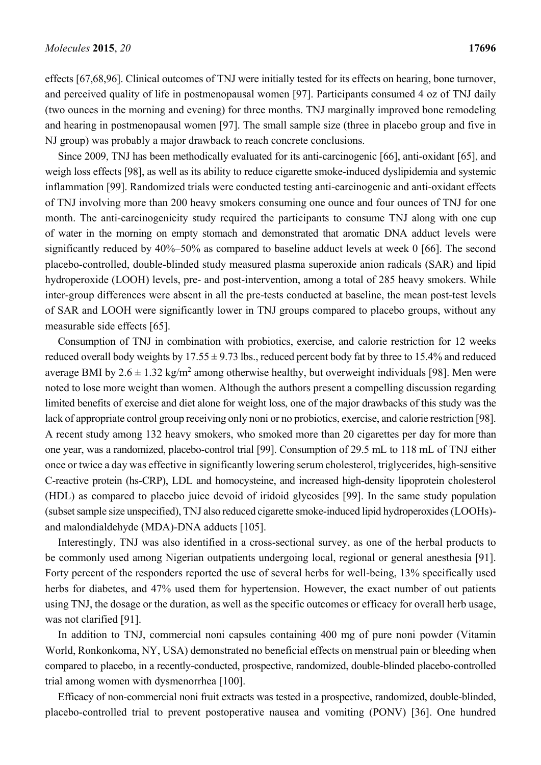effects [67,68,96]. Clinical outcomes of TNJ were initially tested for its effects on hearing, bone turnover, and perceived quality of life in postmenopausal women [97]. Participants consumed 4 oz of TNJ daily (two ounces in the morning and evening) for three months. TNJ marginally improved bone remodeling and hearing in postmenopausal women [97]. The small sample size (three in placebo group and five in NJ group) was probably a major drawback to reach concrete conclusions.

Since 2009, TNJ has been methodically evaluated for its anti-carcinogenic [66], anti-oxidant [65], and weigh loss effects [98], as well as its ability to reduce cigarette smoke-induced dyslipidemia and systemic inflammation [99]. Randomized trials were conducted testing anti-carcinogenic and anti-oxidant effects of TNJ involving more than 200 heavy smokers consuming one ounce and four ounces of TNJ for one month. The anti-carcinogenicity study required the participants to consume TNJ along with one cup of water in the morning on empty stomach and demonstrated that aromatic DNA adduct levels were significantly reduced by 40%–50% as compared to baseline adduct levels at week 0 [66]. The second placebo-controlled, double-blinded study measured plasma superoxide anion radicals (SAR) and lipid hydroperoxide (LOOH) levels, pre- and post-intervention, among a total of 285 heavy smokers. While inter-group differences were absent in all the pre-tests conducted at baseline, the mean post-test levels of SAR and LOOH were significantly lower in TNJ groups compared to placebo groups, without any measurable side effects [65].

Consumption of TNJ in combination with probiotics, exercise, and calorie restriction for 12 weeks reduced overall body weights by  $17.55 \pm 9.73$  lbs., reduced percent body fat by three to 15.4% and reduced average BMI by  $2.6 \pm 1.32$  kg/m<sup>2</sup> among otherwise healthy, but overweight individuals [98]. Men were noted to lose more weight than women. Although the authors present a compelling discussion regarding limited benefits of exercise and diet alone for weight loss, one of the major drawbacks of this study was the lack of appropriate control group receiving only noni or no probiotics, exercise, and calorie restriction [98]. A recent study among 132 heavy smokers, who smoked more than 20 cigarettes per day for more than one year, was a randomized, placebo-control trial [99]. Consumption of 29.5 mL to 118 mL of TNJ either once or twice a day was effective in significantly lowering serum cholesterol, triglycerides, high-sensitive C-reactive protein (hs-CRP), LDL and homocysteine, and increased high-density lipoprotein cholesterol (HDL) as compared to placebo juice devoid of iridoid glycosides [99]. In the same study population (subset sample size unspecified), TNJ also reduced cigarette smoke-induced lipid hydroperoxides (LOOHs) and malondialdehyde (MDA)-DNA adducts [105].

Interestingly, TNJ was also identified in a cross-sectional survey, as one of the herbal products to be commonly used among Nigerian outpatients undergoing local, regional or general anesthesia [91]. Forty percent of the responders reported the use of several herbs for well-being, 13% specifically used herbs for diabetes, and 47% used them for hypertension. However, the exact number of out patients using TNJ, the dosage or the duration, as well as the specific outcomes or efficacy for overall herb usage, was not clarified [91].

In addition to TNJ, commercial noni capsules containing 400 mg of pure noni powder (Vitamin World, Ronkonkoma, NY, USA) demonstrated no beneficial effects on menstrual pain or bleeding when compared to placebo, in a recently-conducted, prospective, randomized, double-blinded placebo-controlled trial among women with dysmenorrhea [100].

Efficacy of non-commercial noni fruit extracts was tested in a prospective, randomized, double-blinded, placebo-controlled trial to prevent postoperative nausea and vomiting (PONV) [36]. One hundred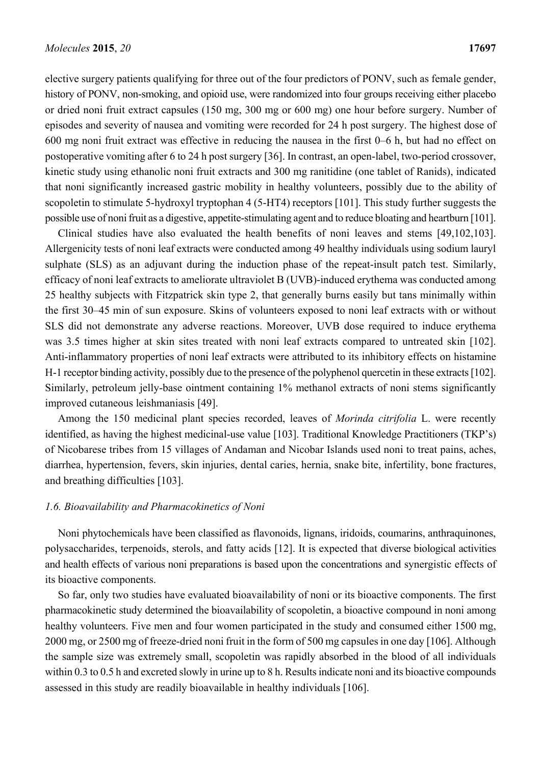elective surgery patients qualifying for three out of the four predictors of PONV, such as female gender, history of PONV, non-smoking, and opioid use, were randomized into four groups receiving either placebo or dried noni fruit extract capsules (150 mg, 300 mg or 600 mg) one hour before surgery. Number of episodes and severity of nausea and vomiting were recorded for 24 h post surgery. The highest dose of 600 mg noni fruit extract was effective in reducing the nausea in the first 0–6 h, but had no effect on postoperative vomiting after 6 to 24 h post surgery [36]. In contrast, an open-label, two-period crossover, kinetic study using ethanolic noni fruit extracts and 300 mg ranitidine (one tablet of Ranids), indicated that noni significantly increased gastric mobility in healthy volunteers, possibly due to the ability of scopoletin to stimulate 5-hydroxyl tryptophan 4 (5-HT4) receptors [101]. This study further suggests the possible use of noni fruit as a digestive, appetite-stimulating agent and to reduce bloating and heartburn [101].

Clinical studies have also evaluated the health benefits of noni leaves and stems [49,102,103]. Allergenicity tests of noni leaf extracts were conducted among 49 healthy individuals using sodium lauryl sulphate (SLS) as an adjuvant during the induction phase of the repeat-insult patch test. Similarly, efficacy of noni leaf extracts to ameliorate ultraviolet B (UVB)-induced erythema was conducted among 25 healthy subjects with Fitzpatrick skin type 2, that generally burns easily but tans minimally within the first 30–45 min of sun exposure. Skins of volunteers exposed to noni leaf extracts with or without SLS did not demonstrate any adverse reactions. Moreover, UVB dose required to induce erythema was 3.5 times higher at skin sites treated with noni leaf extracts compared to untreated skin [102]. Anti-inflammatory properties of noni leaf extracts were attributed to its inhibitory effects on histamine H-1 receptor binding activity, possibly due to the presence of the polyphenol quercetin in these extracts [102]. Similarly, petroleum jelly-base ointment containing 1% methanol extracts of noni stems significantly improved cutaneous leishmaniasis [49].

Among the 150 medicinal plant species recorded, leaves of *Morinda citrifolia* L. were recently identified, as having the highest medicinal-use value [103]. Traditional Knowledge Practitioners (TKP's) of Nicobarese tribes from 15 villages of Andaman and Nicobar Islands used noni to treat pains, aches, diarrhea, hypertension, fevers, skin injuries, dental caries, hernia, snake bite, infertility, bone fractures, and breathing difficulties [103].

#### *1.6. Bioavailability and Pharmacokinetics of Noni*

Noni phytochemicals have been classified as flavonoids, lignans, iridoids, coumarins, anthraquinones, polysaccharides, terpenoids, sterols, and fatty acids [12]. It is expected that diverse biological activities and health effects of various noni preparations is based upon the concentrations and synergistic effects of its bioactive components.

So far, only two studies have evaluated bioavailability of noni or its bioactive components. The first pharmacokinetic study determined the bioavailability of scopoletin, a bioactive compound in noni among healthy volunteers. Five men and four women participated in the study and consumed either 1500 mg, 2000 mg, or 2500 mg of freeze-dried noni fruit in the form of 500 mg capsules in one day [106]. Although the sample size was extremely small, scopoletin was rapidly absorbed in the blood of all individuals within 0.3 to 0.5 h and excreted slowly in urine up to 8 h. Results indicate noni and its bioactive compounds assessed in this study are readily bioavailable in healthy individuals [106].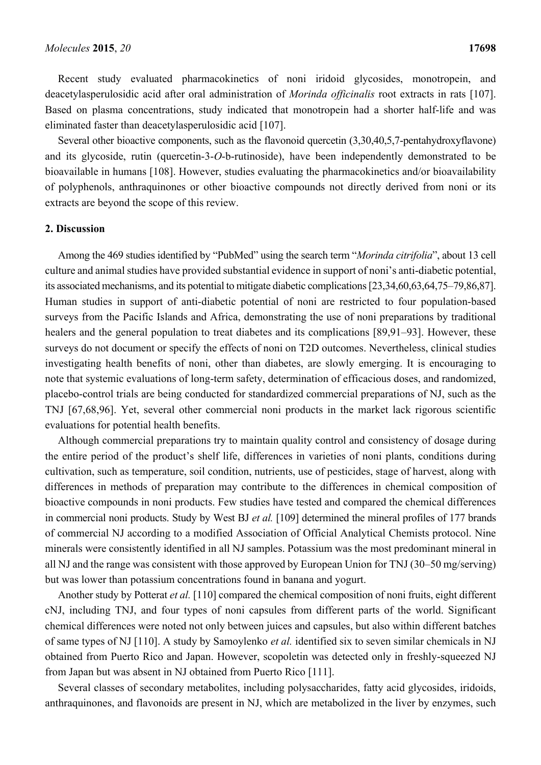Recent study evaluated pharmacokinetics of noni iridoid glycosides, monotropein, and deacetylasperulosidic acid after oral administration of *Morinda officinalis* root extracts in rats [107]. Based on plasma concentrations, study indicated that monotropein had a shorter half-life and was eliminated faster than deacetylasperulosidic acid [107].

Several other bioactive components, such as the flavonoid quercetin (3,30,40,5,7-pentahydroxyflavone) and its glycoside, rutin (quercetin-3-*O*-b-rutinoside), have been independently demonstrated to be bioavailable in humans [108]. However, studies evaluating the pharmacokinetics and/or bioavailability of polyphenols, anthraquinones or other bioactive compounds not directly derived from noni or its extracts are beyond the scope of this review.

#### **2. Discussion**

Among the 469 studies identified by "PubMed" using the search term "*Morinda citrifolia*", about 13 cell culture and animal studies have provided substantial evidence in support of noni's anti-diabetic potential, its associated mechanisms, and its potential to mitigate diabetic complications [23,34,60,63,64,75–79,86,87]. Human studies in support of anti-diabetic potential of noni are restricted to four population-based surveys from the Pacific Islands and Africa, demonstrating the use of noni preparations by traditional healers and the general population to treat diabetes and its complications [89,91–93]. However, these surveys do not document or specify the effects of noni on T2D outcomes. Nevertheless, clinical studies investigating health benefits of noni, other than diabetes, are slowly emerging. It is encouraging to note that systemic evaluations of long-term safety, determination of efficacious doses, and randomized, placebo-control trials are being conducted for standardized commercial preparations of NJ, such as the TNJ [67,68,96]. Yet, several other commercial noni products in the market lack rigorous scientific evaluations for potential health benefits.

Although commercial preparations try to maintain quality control and consistency of dosage during the entire period of the product's shelf life, differences in varieties of noni plants, conditions during cultivation, such as temperature, soil condition, nutrients, use of pesticides, stage of harvest, along with differences in methods of preparation may contribute to the differences in chemical composition of bioactive compounds in noni products. Few studies have tested and compared the chemical differences in commercial noni products. Study by West BJ *et al.* [109] determined the mineral profiles of 177 brands of commercial NJ according to a modified Association of Official Analytical Chemists protocol. Nine minerals were consistently identified in all NJ samples. Potassium was the most predominant mineral in all NJ and the range was consistent with those approved by European Union for TNJ (30–50 mg/serving) but was lower than potassium concentrations found in banana and yogurt.

Another study by Potterat *et al.* [110] compared the chemical composition of noni fruits, eight different cNJ, including TNJ, and four types of noni capsules from different parts of the world. Significant chemical differences were noted not only between juices and capsules, but also within different batches of same types of NJ [110]. A study by Samoylenko *et al.* identified six to seven similar chemicals in NJ obtained from Puerto Rico and Japan. However, scopoletin was detected only in freshly-squeezed NJ from Japan but was absent in NJ obtained from Puerto Rico [111].

Several classes of secondary metabolites, including polysaccharides, fatty acid glycosides, iridoids, anthraquinones, and flavonoids are present in NJ, which are metabolized in the liver by enzymes, such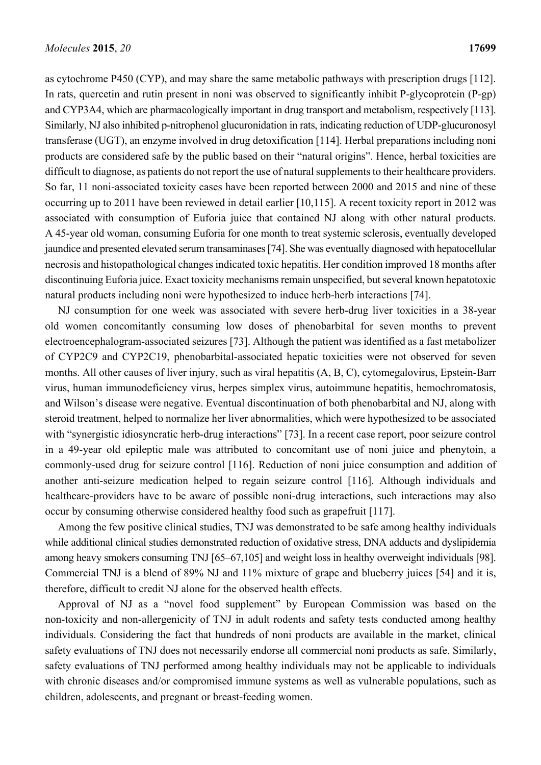as cytochrome P450 (CYP), and may share the same metabolic pathways with prescription drugs [112]. In rats, quercetin and rutin present in noni was observed to significantly inhibit P-glycoprotein (P-gp) and CYP3A4, which are pharmacologically important in drug transport and metabolism, respectively [113]. Similarly, NJ also inhibited p-nitrophenol glucuronidation in rats, indicating reduction of UDP-glucuronosyl transferase (UGT), an enzyme involved in drug detoxification [114]. Herbal preparations including noni products are considered safe by the public based on their "natural origins". Hence, herbal toxicities are difficult to diagnose, as patients do not report the use of natural supplements to their healthcare providers. So far, 11 noni-associated toxicity cases have been reported between 2000 and 2015 and nine of these occurring up to 2011 have been reviewed in detail earlier [10,115]. A recent toxicity report in 2012 was associated with consumption of Euforia juice that contained NJ along with other natural products. A 45-year old woman, consuming Euforia for one month to treat systemic sclerosis, eventually developed jaundice and presented elevated serum transaminases [74]. She was eventually diagnosed with hepatocellular necrosis and histopathological changes indicated toxic hepatitis. Her condition improved 18 months after discontinuing Euforia juice. Exact toxicity mechanisms remain unspecified, but several known hepatotoxic natural products including noni were hypothesized to induce herb-herb interactions [74].

NJ consumption for one week was associated with severe herb-drug liver toxicities in a 38-year old women concomitantly consuming low doses of phenobarbital for seven months to prevent electroencephalogram-associated seizures [73]. Although the patient was identified as a fast metabolizer of CYP2C9 and CYP2C19, phenobarbital-associated hepatic toxicities were not observed for seven months. All other causes of liver injury, such as viral hepatitis (A, B, C), cytomegalovirus, Epstein-Barr virus, human immunodeficiency virus, herpes simplex virus, autoimmune hepatitis, hemochromatosis, and Wilson's disease were negative. Eventual discontinuation of both phenobarbital and NJ, along with steroid treatment, helped to normalize her liver abnormalities, which were hypothesized to be associated with "synergistic idiosyncratic herb-drug interactions" [73]. In a recent case report, poor seizure control in a 49-year old epileptic male was attributed to concomitant use of noni juice and phenytoin, a commonly-used drug for seizure control [116]. Reduction of noni juice consumption and addition of another anti-seizure medication helped to regain seizure control [116]. Although individuals and healthcare-providers have to be aware of possible noni-drug interactions, such interactions may also occur by consuming otherwise considered healthy food such as grapefruit [117].

Among the few positive clinical studies, TNJ was demonstrated to be safe among healthy individuals while additional clinical studies demonstrated reduction of oxidative stress, DNA adducts and dyslipidemia among heavy smokers consuming TNJ [65–67,105] and weight loss in healthy overweight individuals [98]. Commercial TNJ is a blend of 89% NJ and 11% mixture of grape and blueberry juices [54] and it is, therefore, difficult to credit NJ alone for the observed health effects.

Approval of NJ as a "novel food supplement" by European Commission was based on the non-toxicity and non-allergenicity of TNJ in adult rodents and safety tests conducted among healthy individuals. Considering the fact that hundreds of noni products are available in the market, clinical safety evaluations of TNJ does not necessarily endorse all commercial noni products as safe. Similarly, safety evaluations of TNJ performed among healthy individuals may not be applicable to individuals with chronic diseases and/or compromised immune systems as well as vulnerable populations, such as children, adolescents, and pregnant or breast-feeding women.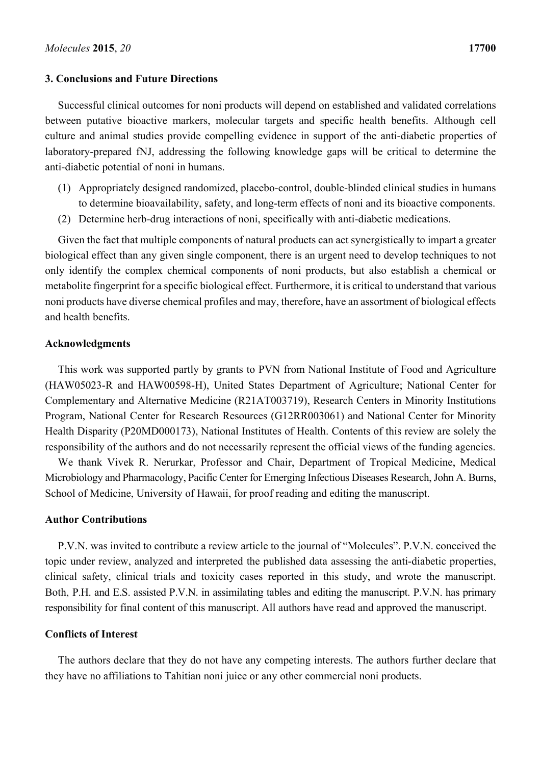#### **3. Conclusions and Future Directions**

Successful clinical outcomes for noni products will depend on established and validated correlations between putative bioactive markers, molecular targets and specific health benefits. Although cell culture and animal studies provide compelling evidence in support of the anti-diabetic properties of laboratory-prepared fNJ, addressing the following knowledge gaps will be critical to determine the anti-diabetic potential of noni in humans.

- (1) Appropriately designed randomized, placebo-control, double-blinded clinical studies in humans to determine bioavailability, safety, and long-term effects of noni and its bioactive components.
- (2) Determine herb-drug interactions of noni, specifically with anti-diabetic medications.

Given the fact that multiple components of natural products can act synergistically to impart a greater biological effect than any given single component, there is an urgent need to develop techniques to not only identify the complex chemical components of noni products, but also establish a chemical or metabolite fingerprint for a specific biological effect. Furthermore, it is critical to understand that various noni products have diverse chemical profiles and may, therefore, have an assortment of biological effects and health benefits.

#### **Acknowledgments**

This work was supported partly by grants to PVN from National Institute of Food and Agriculture (HAW05023-R and HAW00598-H), United States Department of Agriculture; National Center for Complementary and Alternative Medicine (R21AT003719), Research Centers in Minority Institutions Program, National Center for Research Resources (G12RR003061) and National Center for Minority Health Disparity (P20MD000173), National Institutes of Health. Contents of this review are solely the responsibility of the authors and do not necessarily represent the official views of the funding agencies.

We thank Vivek R. Nerurkar, Professor and Chair, Department of Tropical Medicine, Medical Microbiology and Pharmacology, Pacific Center for Emerging Infectious Diseases Research, John A. Burns, School of Medicine, University of Hawaii, for proof reading and editing the manuscript.

#### **Author Contributions**

P.V.N. was invited to contribute a review article to the journal of "Molecules". P.V.N. conceived the topic under review, analyzed and interpreted the published data assessing the anti-diabetic properties, clinical safety, clinical trials and toxicity cases reported in this study, and wrote the manuscript. Both, P.H. and E.S. assisted P.V.N. in assimilating tables and editing the manuscript. P.V.N. has primary responsibility for final content of this manuscript. All authors have read and approved the manuscript.

#### **Conflicts of Interest**

The authors declare that they do not have any competing interests. The authors further declare that they have no affiliations to Tahitian noni juice or any other commercial noni products.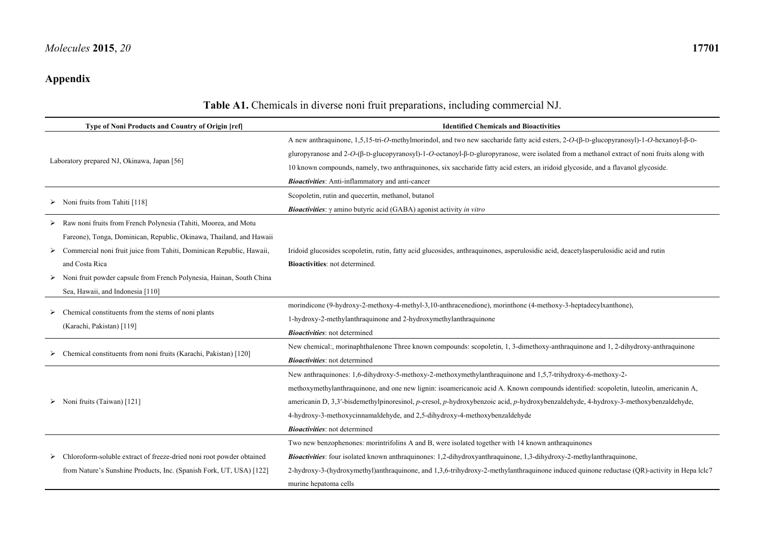## **Appendix**

| Type of Noni Products and Country of Origin [ref]                                                                                                                                                                                                                                                                                            | <b>Identified Chemicals and Bioactivities</b>                                                                                                                                                                                                                                                                                                                                                                                                                                                                      |  |  |
|----------------------------------------------------------------------------------------------------------------------------------------------------------------------------------------------------------------------------------------------------------------------------------------------------------------------------------------------|--------------------------------------------------------------------------------------------------------------------------------------------------------------------------------------------------------------------------------------------------------------------------------------------------------------------------------------------------------------------------------------------------------------------------------------------------------------------------------------------------------------------|--|--|
| Laboratory prepared NJ, Okinawa, Japan [56]                                                                                                                                                                                                                                                                                                  | A new anthraquinone, 1,5,15-tri- <i>O</i> -methylmorindol, and two new saccharide fatty acid esters, 2- <i>O</i> -(β-D-glucopyranosyl)-1- <i>O</i> -hexanoyl-β-D-<br>gluropyranose and 2-O-(ß-D-glucopyranosyl)-1-O-octanoyl-ß-D-gluropyranose, were isolated from a methanol extract of noni fruits along with<br>10 known compounds, namely, two anthraquinones, six saccharide fatty acid esters, an iridoid glycoside, and a flavanol glycoside.<br><b>Bioactivities:</b> Anti-inflammatory and anti-cancer    |  |  |
| Noni fruits from Tahiti [118]                                                                                                                                                                                                                                                                                                                | Scopoletin, rutin and quecertin, methanol, butanol<br><b>Bioactivities</b> : $\gamma$ amino butyric acid (GABA) agonist activity in vitro                                                                                                                                                                                                                                                                                                                                                                          |  |  |
| Raw noni fruits from French Polynesia (Tahiti, Moorea, and Motu<br>Fareone), Tonga, Dominican, Republic, Okinawa, Thailand, and Hawaii<br>Commercial noni fruit juice from Tahiti, Dominican Republic, Hawaii,<br>and Costa Rica<br>Noni fruit powder capsule from French Polynesia, Hainan, South China<br>Sea, Hawaii, and Indonesia [110] | Iridoid glucosides scopoletin, rutin, fatty acid glucosides, anthraquinones, asperulosidic acid, deacetylasperulosidic acid and rutin<br><b>Bioactivities:</b> not determined.                                                                                                                                                                                                                                                                                                                                     |  |  |
| Chemical constituents from the stems of noni plants<br>(Karachi, Pakistan) [119]                                                                                                                                                                                                                                                             | morindicone (9-hydroxy-2-methoxy-4-methyl-3,10-anthracenedione), morinthone (4-methoxy-3-heptadecylxanthone),<br>1-hydroxy-2-methylanthraquinone and 2-hydroxymethylanthraquinone<br><b>Bioactivities</b> : not determined                                                                                                                                                                                                                                                                                         |  |  |
| Chemical constituents from noni fruits (Karachi, Pakistan) [120]                                                                                                                                                                                                                                                                             | New chemical:, morinaphthalenone Three known compounds: scopoletin, 1, 3-dimethoxy-anthraquinone and 1, 2-dihydroxy-anthraquinone<br><b>Bioactivities</b> : not determined                                                                                                                                                                                                                                                                                                                                         |  |  |
| $\triangleright$ Noni fruits (Taiwan) [121]                                                                                                                                                                                                                                                                                                  | New anthraquinones: 1,6-dihydroxy-5-methoxy-2-methoxymethylanthraquinone and 1,5,7-trihydroxy-6-methoxy-2-<br>methoxymethylanthraquinone, and one new lignin: isoamericanoic acid A. Known compounds identified: scopoletin, luteolin, americanin A,<br>americanin D, 3,3'-bisdemethylpinoresinol, p-cresol, p-hydroxybenzoic acid, p-hydroxybenzaldehyde, 4-hydroxy-3-methoxybenzaldehyde,<br>4-hydroxy-3-methoxycinnamaldehyde, and 2,5-dihydroxy-4-methoxybenzaldehyde<br><b>Bioactivities</b> : not determined |  |  |
| > Chloroform-soluble extract of freeze-dried noni root powder obtained<br>from Nature's Sunshine Products, Inc. (Spanish Fork, UT, USA) [122]                                                                                                                                                                                                | Two new benzophenones: morintrifolins A and B, were isolated together with 14 known anthraquinones<br><b>Bioactivities:</b> four isolated known anthraquinones: 1,2-dihydroxyanthraquinone, 1,3-dihydroxy-2-methylanthraquinone,<br>2-hydroxy-3-(hydroxymethyl)anthraquinone, and 1,3,6-trihydroxy-2-methylanthraquinone induced quinone reductase (QR)-activity in Hepa lclc7<br>murine hepatoma cells                                                                                                            |  |  |

## **Table A1.** Chemicals in diverse noni fruit preparations, including commercial NJ.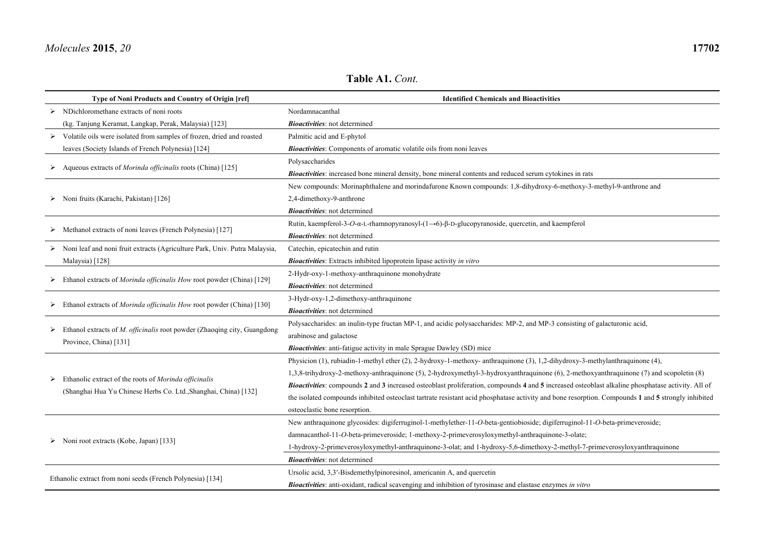|   | Type of Noni Products and Country of Origin [ref]                          | <b>Identified Chemicals and Bioactivities</b>                                                                                                      |
|---|----------------------------------------------------------------------------|----------------------------------------------------------------------------------------------------------------------------------------------------|
|   | $\triangleright$ NDichloromethane extracts of noni roots                   | Nordamnacanthal                                                                                                                                    |
|   | (kg. Tanjung Keramat, Langkap, Perak, Malaysia) [123]                      | <b>Bioactivities</b> : not determined                                                                                                              |
|   | Volatile oils were isolated from samples of frozen, dried and roasted      | Palmitic acid and E-phytol                                                                                                                         |
|   | leaves (Society Islands of French Polynesia) [124]                         | <b>Bioactivities:</b> Components of aromatic volatile oils from noni leaves                                                                        |
|   | Aqueous extracts of <i>Morinda officinalis</i> roots (China) [125]         | Polysaccharides                                                                                                                                    |
|   |                                                                            | Bioactivities: increased bone mineral density, bone mineral contents and reduced serum cytokines in rats                                           |
|   |                                                                            | New compounds: Morinaphthalene and morindafurone Known compounds: 1,8-dihydroxy-6-methoxy-3-methyl-9-anthrone and                                  |
|   | Noni fruits (Karachi, Pakistan) [126]                                      | 2,4-dimethoxy-9-anthrone                                                                                                                           |
|   |                                                                            | <b>Bioactivities</b> : not determined                                                                                                              |
| ➤ | Methanol extracts of noni leaves (French Polynesia) [127]                  | Rutin, kaempferol-3-O- $\alpha$ -L-rhamnopyranosyl- $(1\rightarrow 6)$ - $\beta$ -D-glucopyranoside, quercetin, and kaempferol                     |
|   |                                                                            | <b>Bioactivities</b> : not determined                                                                                                              |
|   | Noni leaf and noni fruit extracts (Agriculture Park, Univ. Putra Malaysia, | Catechin, epicatechin and rutin                                                                                                                    |
|   | Malaysia) [128]                                                            | <b>Bioactivities</b> : Extracts inhibited lipoprotein lipase activity in vitro                                                                     |
|   | Ethanol extracts of Morinda officinalis How root powder (China) [129]      | 2-Hydr-oxy-1-methoxy-anthraquinone monohydrate                                                                                                     |
|   |                                                                            | <b>Bioactivities</b> : not determined                                                                                                              |
| ➤ | Ethanol extracts of Morinda officinalis How root powder (China) [130]      | 3-Hydr-oxy-1,2-dimethoxy-anthraquinone                                                                                                             |
|   |                                                                            | <b>Bioactivities</b> : not determined                                                                                                              |
| ➤ | Ethanol extracts of M. officinalis root powder (Zhaoqing city, Guangdong   | Polysaccharides: an inulin-type fructan MP-1, and acidic polysaccharides: MP-2, and MP-3 consisting of galacturonic acid,                          |
|   | Province, China) [131]                                                     | arabinose and galactose                                                                                                                            |
|   |                                                                            | <b>Bioactivities</b> : anti-fatigue activity in male Sprague Dawley (SD) mice                                                                      |
|   |                                                                            | Physicion (1), rubiadin-1-methyl ether (2), 2-hydroxy-1-methoxy- anthraquinone (3), 1,2-dihydroxy-3-methylanthraquinone (4),                       |
| ➤ | Ethanolic extract of the roots of Morinda officinalis                      | 1,3,8-trihydroxy-2-methoxy-anthraquinone (5), 2-hydroxymethyl-3-hydroxyanthraquinone (6), 2-methoxyanthraquinone (7) and scopoletin (8)            |
|   | (Shanghai Hua Yu Chinese Herbs Co. Ltd., Shanghai, China) [132]            | Bioactivities: compounds 2 and 3 increased osteoblast proliferation, compounds 4 and 5 increased osteoblast alkaline phosphatase activity. All of  |
|   |                                                                            | the isolated compounds inhibited osteoclast tartrate resistant acid phosphatase activity and bone resorption. Compounds 1 and 5 strongly inhibited |
|   |                                                                            | osteoclastic bone resorption.                                                                                                                      |
|   |                                                                            | New anthraquinone glycosides: digiferruginol-1-methylether-11-O-beta-gentiobioside; digiferruginol-11-O-beta-primeveroside;                        |
|   | Noni root extracts (Kobe, Japan) [133]                                     | damnacanthol-11-O-beta-primeveroside; 1-methoxy-2-primeverosyloxymethyl-anthraquinone-3-olate;                                                     |
|   |                                                                            | 1-hydroxy-2-primeverosyloxymethyl-anthraquinone-3-olat; and 1-hydroxy-5,6-dimethoxy-2-methyl-7-primeverosyloxyanthraquinone                        |
|   |                                                                            | <b>Bioactivities</b> : not determined                                                                                                              |
|   | Ethanolic extract from noni seeds (French Polynesia) [134]                 | Ursolic acid, 3,3'-Bisdemethylpinoresinol, americanin A, and quercetin                                                                             |
|   |                                                                            | Bioactivities: anti-oxidant, radical scavenging and inhibition of tyrosinase and elastase enzymes in vitro                                         |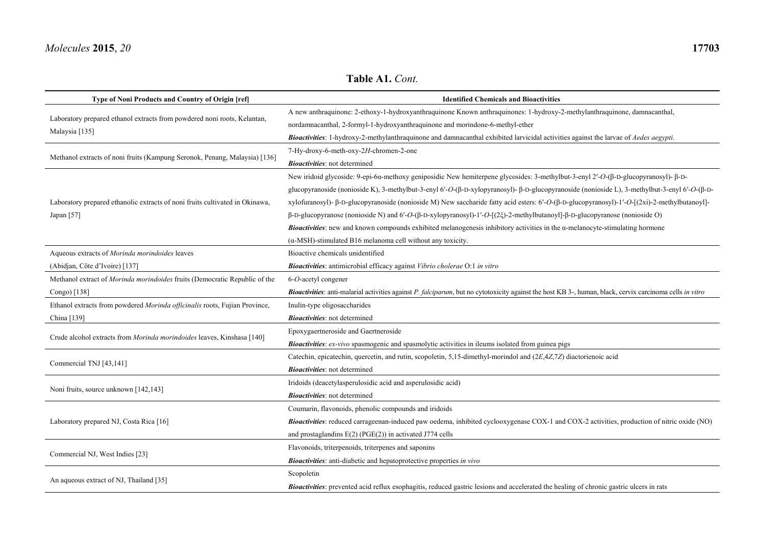| Type of Noni Products and Country of Origin [ref]                                          | <b>Identified Chemicals and Bioactivities</b>                                                                                                                       |
|--------------------------------------------------------------------------------------------|---------------------------------------------------------------------------------------------------------------------------------------------------------------------|
| Laboratory prepared ethanol extracts from powdered noni roots, Kelantan,<br>Malaysia [135] | A new anthraquinone: 2-ethoxy-1-hydroxyanthraquinone Known anthraquinones: 1-hydroxy-2-methylanthraquinone, damnacanthal,                                           |
|                                                                                            | nordamnacanthal, 2-formyl-1-hydroxyanthraquinone and morindone-6-methyl-ether                                                                                       |
|                                                                                            | Bioactivities: 1-hydroxy-2-methylanthraquinone and damnacanthal exhibited larvicidal activities against the larvae of Aedes aegypti.                                |
| Methanol extracts of noni fruits (Kampung Seronok, Penang, Malaysia) [136]                 | 7-Hy-droxy-6-meth-oxy-2H-chromen-2-one                                                                                                                              |
|                                                                                            | <b>Bioactivities:</b> not determined                                                                                                                                |
|                                                                                            | New iridoid glycoside: 9-epi-6α-methoxy geniposidic New hemiterpene glycosides: 3-methylbut-3-enyl 2'-O-(β-D-glucopyranosyl)- β-D-                                  |
|                                                                                            | glucopyranoside (nonioside K), 3-methylbut-3-enyl 6'-O- $(\beta$ -D-xylopyranosyl)- $\beta$ -D-glucopyranoside (nonioside L), 3-methylbut-3-enyl 6'-O- $(\beta$ -D- |
| Laboratory prepared ethanolic extracts of noni fruits cultivated in Okinawa,               | xylofuranosyl)- β-D-glucopyranoside (nonioside M) New saccharide fatty acid esters: 6'-O-(β-D-glucopyranosyl)-1'-O-[(2xi)-2-methylbutanoyl]-                        |
| Japan [57]                                                                                 | $β$ -D-glucopyranose (nonioside N) and 6'-O-( $β$ -D-xylopyranosyl)-1'-O-[(2ξ)-2-methylbutanoyl]- $β$ -D-glucopyranose (nonioside O)                                |
|                                                                                            | <b>Bioactivities:</b> new and known compounds exhibited melanogenesis inhibitory activities in the $\alpha$ -melanocyte-stimulating hormone                         |
|                                                                                            | $(\alpha$ -MSH)-stimulated B16 melanoma cell without any toxicity.                                                                                                  |
| Aqueous extracts of Morinda morindoides leaves                                             | Bioactive chemicals unidentified                                                                                                                                    |
| (Abidjan, Côte d'Ivoire) [137]                                                             | Bioactivities: antimicrobial efficacy against Vibrio cholerae O:1 in vitro                                                                                          |
| Methanol extract of Morinda morindoides fruits (Democratic Republic of the                 | 6-O-acetyl congener                                                                                                                                                 |
| Congo) [138]                                                                               | <b>Bioactivities:</b> anti-malarial activities against P. falciparum, but no cytotoxicity against the host KB 3-, human, black, cervix carcinoma cells in vitro     |
| Ethanol extracts from powdered Morinda officinalis roots, Fujian Province,                 | Inulin-type oligosaccharides                                                                                                                                        |
| China [139]                                                                                | <b>Bioactivities</b> : not determined                                                                                                                               |
|                                                                                            | Epoxygaertneroside and Gaertneroside                                                                                                                                |
| Crude alcohol extracts from Morinda morindoides leaves, Kinshasa [140]                     | Bioactivities: ex-vivo spasmogenic and spasmolytic activities in ileums isolated from guinea pigs                                                                   |
|                                                                                            | Catechin, epicatechin, quercetin, and rutin, scopoletin, 5,15-dimethyl-morindol and $(2E,4Z,7Z)$ diactorienoic acid                                                 |
| Commercial TNJ [43,141]                                                                    | <b>Bioactivities</b> : not determined                                                                                                                               |
|                                                                                            | Iridoids (deacetylasperulosidic acid and asperulosidic acid)                                                                                                        |
| Noni fruits, source unknown [142,143]                                                      | <b>Bioactivities</b> : not determined                                                                                                                               |
| Laboratory prepared NJ, Costa Rica [16]                                                    | Coumarin, flavonoids, phenolic compounds and iridoids                                                                                                               |
|                                                                                            | <b>Bioactivities:</b> reduced carrageenan-induced paw oedema, inhibited cyclooxygenase COX-1 and COX-2 activities, production of nitric oxide (NO)                  |
|                                                                                            | and prostaglandins $E(2)$ (PGE(2)) in activated J774 cells                                                                                                          |
| Commercial NJ, West Indies [23]                                                            | Flavonoids, triterpenoids, triterpenes and saponins                                                                                                                 |
|                                                                                            | <b>Bioactivities</b> : anti-diabetic and hepatoprotective properties in vivo                                                                                        |
| An aqueous extract of NJ, Thailand [35]                                                    | Scopoletin                                                                                                                                                          |
|                                                                                            | <b>Bioactivities:</b> prevented acid reflux esophagitis, reduced gastric lesions and accelerated the healing of chronic gastric ulcers in rats                      |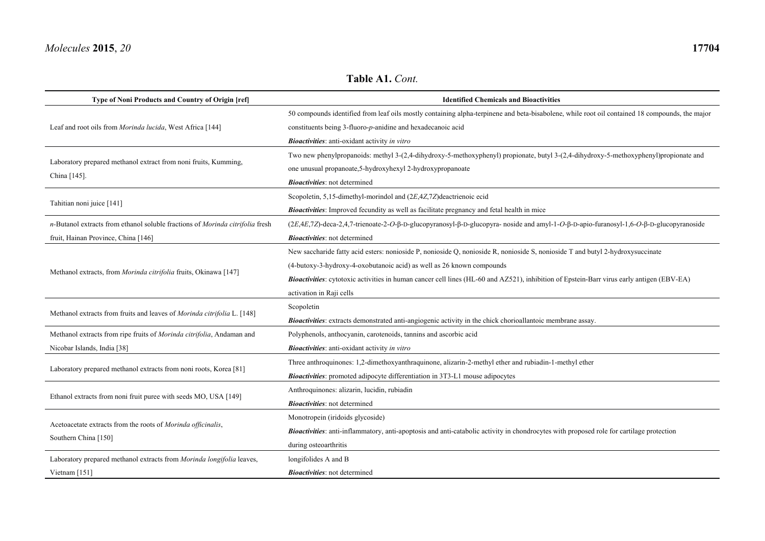| Type of Noni Products and Country of Origin [ref]                                    | <b>Identified Chemicals and Bioactivities</b>                                                                                                    |
|--------------------------------------------------------------------------------------|--------------------------------------------------------------------------------------------------------------------------------------------------|
|                                                                                      | 50 compounds identified from leaf oils mostly containing alpha-terpinene and beta-bisabolene, while root oil contained 18 compounds, the major   |
| Leaf and root oils from Morinda lucida, West Africa [144]                            | constituents being $3$ -fluoro- $p$ -anidine and hexadecanoic acid                                                                               |
|                                                                                      | <b>Bioactivities</b> : anti-oxidant activity in vitro                                                                                            |
|                                                                                      | Two new phenylpropanoids: methyl 3-(2,4-dihydroxy-5-methoxyphenyl) propionate, butyl 3-(2,4-dihydroxy-5-methoxyphenyl)propionate and             |
| Laboratory prepared methanol extract from noni fruits, Kumming,<br>China [145].      | one unusual propanoate, 5-hydroxyhexyl 2-hydroxypropanoate                                                                                       |
|                                                                                      | <b>Bioactivities</b> : not determined                                                                                                            |
|                                                                                      | Scopoletin, 5,15-dimethyl-morindol and (2E,4Z,7Z) deactrienoic ecid                                                                              |
| Tahitian noni juice [141]                                                            | Bioactivities: Improved fecundity as well as facilitate pregnancy and fetal health in mice                                                       |
| n-Butanol extracts from ethanol soluble fractions of Morinda citrifolia fresh        | (2E,4E,7Z)-deca-2,4,7-trienoate-2-O-β-D-glucopyranosyl-β-D-glucopyra- noside and amyl-1-O-β-D-apio-furanosyl-1,6-O-β-D-glucopyranoside           |
| fruit, Hainan Province, China [146]                                                  | <b>Bioactivities</b> : not determined                                                                                                            |
|                                                                                      | New saccharide fatty acid esters: nonioside P, nonioside Q, nonioside R, nonioside S, nonioside T and butyl 2-hydroxysuccinate                   |
|                                                                                      | (4-butoxy-3-hydroxy-4-oxobutanoic acid) as well as 26 known compounds                                                                            |
| Methanol extracts, from Morinda citrifolia fruits, Okinawa [147]                     | <b>Bioactivities:</b> cytotoxic activities in human cancer cell lines (HL-60 and AZ521), inhibition of Epstein-Barr virus early antigen (EBV-EA) |
|                                                                                      | activation in Raji cells                                                                                                                         |
|                                                                                      | Scopoletin                                                                                                                                       |
| Methanol extracts from fruits and leaves of Morinda citrifolia L. [148]              | Bioactivities: extracts demonstrated anti-angiogenic activity in the chick chorioallantoic membrane assay.                                       |
| Methanol extracts from ripe fruits of Morinda citrifolia, Andaman and                | Polyphenols, anthocyanin, carotenoids, tannins and ascorbic acid                                                                                 |
| Nicobar Islands, India [38]                                                          | <b>Bioactivities</b> : anti-oxidant activity in vitro                                                                                            |
| Laboratory prepared methanol extracts from noni roots, Korea [81]                    | Three anthroquinones: 1,2-dimethoxyanthraquinone, alizarin-2-methyl ether and rubiadin-1-methyl ether                                            |
|                                                                                      | Bioactivities: promoted adipocyte differentiation in 3T3-L1 mouse adipocytes                                                                     |
|                                                                                      | Anthroquinones: alizarin, lucidin, rubiadin                                                                                                      |
| Ethanol extracts from noni fruit puree with seeds MO, USA [149]                      | <b>Bioactivities</b> : not determined                                                                                                            |
|                                                                                      | Monotropein (iridoids glycoside)                                                                                                                 |
| Acetoacetate extracts from the roots of Morinda officinalis,<br>Southern China [150] | <b>Bioactivities:</b> anti-inflammatory, anti-apoptosis and anti-catabolic activity in chondrocytes with proposed role for cartilage protection  |
|                                                                                      | during osteoarthritis                                                                                                                            |
| Laboratory prepared methanol extracts from Morinda longifolia leaves,                | longifolides A and B                                                                                                                             |
| Vietnam $[151]$                                                                      | <b>Bioactivities</b> : not determined                                                                                                            |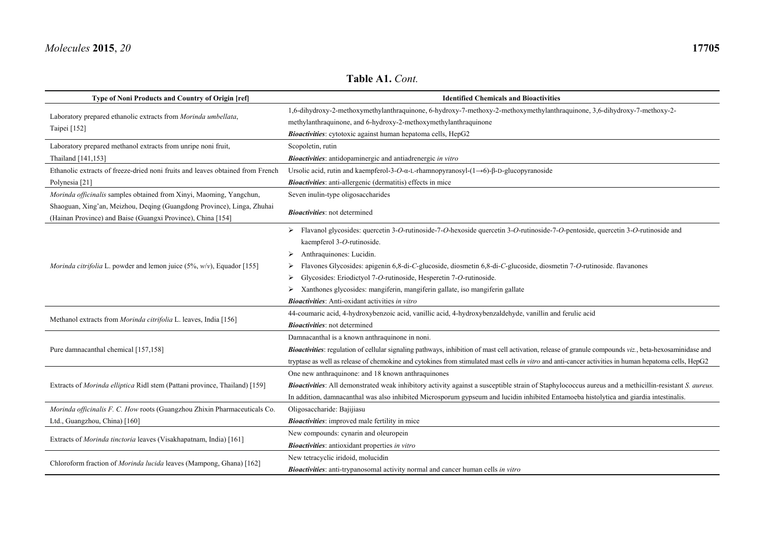**Table A1.** *Cont.*

| Type of Noni Products and Country of Origin [ref]                                | <b>Identified Chemicals and Bioactivities</b>                                                                                                                   |  |
|----------------------------------------------------------------------------------|-----------------------------------------------------------------------------------------------------------------------------------------------------------------|--|
| Laboratory prepared ethanolic extracts from Morinda umbellata,                   | 1,6-dihydroxy-2-methoxymethylanthraquinone, 6-hydroxy-7-methoxy-2-methoxymethylanthraquinone, 3,6-dihydroxy-7-methoxy-2-                                        |  |
| Taipei [152]                                                                     | methylanthraquinone, and 6-hydroxy-2-methoxymethylanthraquinone                                                                                                 |  |
|                                                                                  | Bioactivities: cytotoxic against human hepatoma cells, HepG2                                                                                                    |  |
| Laboratory prepared methanol extracts from unripe noni fruit,                    | Scopoletin, rutin                                                                                                                                               |  |
| Thailand [141,153]                                                               | <b>Bioactivities</b> : antidopaminergic and antiadrenergic in vitro                                                                                             |  |
| Ethanolic extracts of freeze-dried noni fruits and leaves obtained from French   | Ursolic acid, rutin and kaempferol-3-O- $\alpha$ -L-rhamnopyranosyl- $(1\rightarrow 6)$ - $\beta$ -D-glucopyranoside                                            |  |
| Polynesia [21]                                                                   | Bioactivities: anti-allergenic (dermatitis) effects in mice                                                                                                     |  |
| Morinda officinalis samples obtained from Xinyi, Maoming, Yangchun,              | Seven inulin-type oligosaccharides                                                                                                                              |  |
| Shaoguan, Xing'an, Meizhou, Deqing (Guangdong Province), Linga, Zhuhai           | <b>Bioactivities</b> : not determined                                                                                                                           |  |
| (Hainan Province) and Baise (Guangxi Province), China [154]                      |                                                                                                                                                                 |  |
|                                                                                  | > Flavanol glycosides: quercetin 3-O-rutinoside-7-O-hexoside quercetin 3-O-rutinoside-7-O-pentoside, quercetin 3-O-rutinoside and                               |  |
|                                                                                  | kaempferol 3-O-rutinoside.                                                                                                                                      |  |
|                                                                                  | Anthraquinones: Lucidin.                                                                                                                                        |  |
| <i>Morinda citrifolia</i> L. powder and lemon juice $(5\%, w/v)$ , Equador [155] | Flavones Glycosides: apigenin 6,8-di-C-glucoside, diosmetin 6,8-di-C-glucoside, diosmetin 7-O-rutinoside. flavanones                                            |  |
|                                                                                  | Glycosides: Eriodictyol 7-O-rutinoside, Hesperetin 7-O-rutinoside.                                                                                              |  |
|                                                                                  | Xanthones glycosides: mangiferin, mangiferin gallate, iso mangiferin gallate                                                                                    |  |
|                                                                                  | <b>Bioactivities:</b> Anti-oxidant activities in vitro                                                                                                          |  |
|                                                                                  | 44-coumaric acid, 4-hydroxybenzoic acid, vanillic acid, 4-hydroxybenzaldehyde, vanillin and ferulic acid                                                        |  |
| Methanol extracts from Morinda citrifolia L. leaves, India [156]                 | <b>Bioactivities</b> : not determined                                                                                                                           |  |
|                                                                                  | Damnacanthal is a known anthraquinone in noni.                                                                                                                  |  |
| Pure damnacanthal chemical [157,158]                                             | <b>Bioactivities:</b> regulation of cellular signaling pathways, inhibition of mast cell activation, release of granule compounds viz., beta-hexosaminidase and |  |
|                                                                                  | tryptase as well as release of chemokine and cytokines from stimulated mast cells in vitro and anti-cancer activities in human hepatoma cells, HepG2            |  |
| Extracts of Morinda elliptica Ridl stem (Pattani province, Thailand) [159]       | One new anthraquinone: and 18 known anthraquinones                                                                                                              |  |
|                                                                                  | Bioactivities: All demonstrated weak inhibitory activity against a susceptible strain of Staphylococcus aureus and a methicillin-resistant S. aureus.           |  |
|                                                                                  | In addition, damnacanthal was also inhibited Microsporum gypseum and lucidin inhibited Entamoeba histolytica and giardia intestinalis.                          |  |
| Morinda officinalis F. C. How roots (Guangzhou Zhixin Pharmaceuticals Co.        | Oligosaccharide: Bajijiasu                                                                                                                                      |  |
| Ltd., Guangzhou, China) [160]                                                    | <b>Bioactivities:</b> improved male fertility in mice                                                                                                           |  |
| Extracts of Morinda tinctoria leaves (Visakhapatnam, India) [161]                | New compounds: cynarin and oleuropein                                                                                                                           |  |
|                                                                                  | <b>Bioactivities:</b> antioxidant properties in vitro                                                                                                           |  |
| Chloroform fraction of Morinda lucida leaves (Mampong, Ghana) [162]              | New tetracyclic iridoid, molucidin                                                                                                                              |  |
|                                                                                  | Bioactivities: anti-trypanosomal activity normal and cancer human cells in vitro                                                                                |  |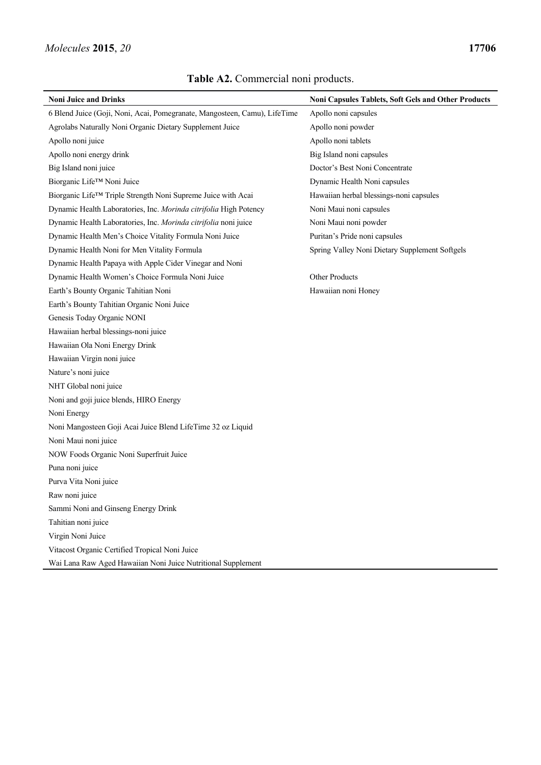| <b>Noni Juice and Drinks</b>                                              | Noni Capsules Tablets, Soft Gels and Other Products |
|---------------------------------------------------------------------------|-----------------------------------------------------|
| 6 Blend Juice (Goji, Noni, Acai, Pomegranate, Mangosteen, Camu), LifeTime | Apollo noni capsules                                |
| Agrolabs Naturally Noni Organic Dietary Supplement Juice                  | Apollo noni powder                                  |
| Apollo noni juice                                                         | Apollo noni tablets                                 |
| Apollo noni energy drink                                                  | Big Island noni capsules                            |
| Big Island noni juice                                                     | Doctor's Best Noni Concentrate                      |
| Biorganic Life™ Noni Juice                                                | Dynamic Health Noni capsules                        |
| Biorganic Life <sup>TM</sup> Triple Strength Noni Supreme Juice with Acai | Hawaiian herbal blessings-noni capsules             |
| Dynamic Health Laboratories, Inc. Morinda citrifolia High Potency         | Noni Maui noni capsules                             |
| Dynamic Health Laboratories, Inc. Morinda citrifolia noni juice           | Noni Maui noni powder                               |
| Dynamic Health Men's Choice Vitality Formula Noni Juice                   | Puritan's Pride noni capsules                       |
| Dynamic Health Noni for Men Vitality Formula                              | Spring Valley Noni Dietary Supplement Softgels      |
| Dynamic Health Papaya with Apple Cider Vinegar and Noni                   |                                                     |
| Dynamic Health Women's Choice Formula Noni Juice                          | <b>Other Products</b>                               |
| Earth's Bounty Organic Tahitian Noni                                      | Hawaiian noni Honey                                 |
| Earth's Bounty Tahitian Organic Noni Juice                                |                                                     |
| Genesis Today Organic NONI                                                |                                                     |
| Hawaiian herbal blessings-noni juice                                      |                                                     |
| Hawaiian Ola Noni Energy Drink                                            |                                                     |
| Hawaiian Virgin noni juice                                                |                                                     |
| Nature's noni juice                                                       |                                                     |
| NHT Global noni juice                                                     |                                                     |
| Noni and goji juice blends, HIRO Energy                                   |                                                     |
| Noni Energy                                                               |                                                     |
| Noni Mangosteen Goji Acai Juice Blend LifeTime 32 oz Liquid               |                                                     |
| Noni Maui noni juice                                                      |                                                     |
| NOW Foods Organic Noni Superfruit Juice                                   |                                                     |
| Puna noni juice                                                           |                                                     |
| Purva Vita Noni juice                                                     |                                                     |
| Raw noni juice                                                            |                                                     |
| Sammi Noni and Ginseng Energy Drink                                       |                                                     |
| Tahitian noni juice                                                       |                                                     |
| Virgin Noni Juice                                                         |                                                     |
| Vitacost Organic Certified Tropical Noni Juice                            |                                                     |
| Wai Lana Raw Aged Hawaiian Noni Juice Nutritional Supplement              |                                                     |

## **Table A2.** Commercial noni products.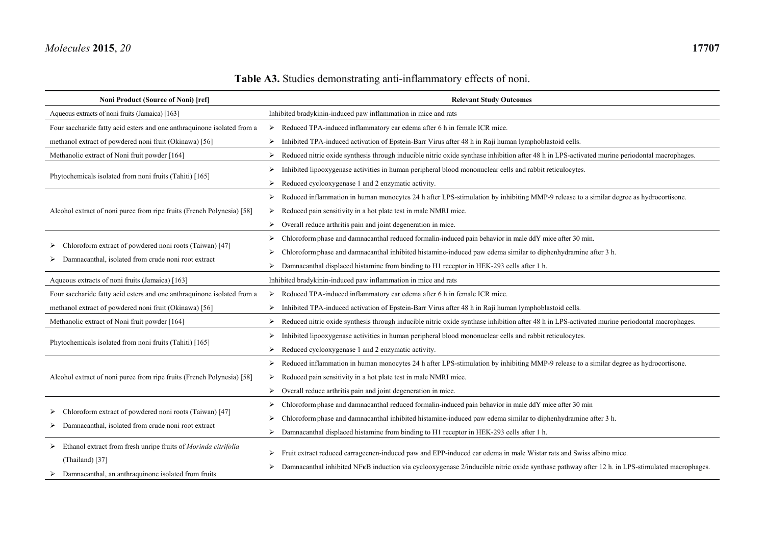## **Table A3.** Studies demonstrating anti-inflammatory effects of noni.

| Noni Product (Source of Noni) [ref]                                                                            | <b>Relevant Study Outcomes</b>                                                                                                                |
|----------------------------------------------------------------------------------------------------------------|-----------------------------------------------------------------------------------------------------------------------------------------------|
| Aqueous extracts of noni fruits (Jamaica) [163]                                                                | Inhibited bradykinin-induced paw inflammation in mice and rats                                                                                |
| Four saccharide fatty acid esters and one anthraquinone isolated from a                                        | Reduced TPA-induced inflammatory ear edema after 6 h in female ICR mice.<br>➤                                                                 |
| methanol extract of powdered noni fruit (Okinawa) [56]                                                         | Inhibited TPA-induced activation of Epstein-Barr Virus after 48 h in Raji human lymphoblastoid cells.                                         |
| Methanolic extract of Noni fruit powder [164]                                                                  | Reduced nitric oxide synthesis through inducible nitric oxide synthase inhibition after 48 h in LPS-activated murine periodontal macrophages. |
| Phytochemicals isolated from noni fruits (Tahiti) [165]                                                        | Inhibited lipooxygenase activities in human peripheral blood mononuclear cells and rabbit reticulocytes.                                      |
|                                                                                                                | Reduced cyclooxygenase 1 and 2 enzymatic activity.<br>➤                                                                                       |
|                                                                                                                | Reduced inflammation in human monocytes 24 h after LPS-stimulation by inhibiting MMP-9 release to a similar degree as hydrocortisone.<br>➤    |
| Alcohol extract of noni puree from ripe fruits (French Polynesia) [58]                                         | Reduced pain sensitivity in a hot plate test in male NMRI mice.<br>➤                                                                          |
|                                                                                                                | Overall reduce arthritis pain and joint degeneration in mice.<br>➤                                                                            |
| Chloroform extract of powdered noni roots (Taiwan) [47]<br>Damnacanthal, isolated from crude noni root extract | Chloroform phase and damnacanthal reduced formalin-induced pain behavior in male ddY mice after 30 min.                                       |
|                                                                                                                | Chloroform phase and damnacanthal inhibited histamine-induced paw edema similar to diphenhydramine after 3 h.                                 |
|                                                                                                                | Damnacanthal displaced histamine from binding to H1 receptor in HEK-293 cells after 1 h.                                                      |
| Aqueous extracts of noni fruits (Jamaica) [163]                                                                | Inhibited bradykinin-induced paw inflammation in mice and rats                                                                                |
| Four saccharide fatty acid esters and one anthraquinone isolated from a                                        | Reduced TPA-induced inflammatory ear edema after 6 h in female ICR mice.<br>➤                                                                 |
| methanol extract of powdered noni fruit (Okinawa) [56]                                                         | Inhibited TPA-induced activation of Epstein-Barr Virus after 48 h in Raji human lymphoblastoid cells.<br>➤                                    |
| Methanolic extract of Noni fruit powder [164]                                                                  | Reduced nitric oxide synthesis through inducible nitric oxide synthase inhibition after 48 h in LPS-activated murine periodontal macrophages. |
| Phytochemicals isolated from noni fruits (Tahiti) [165]                                                        | Inhibited lipooxygenase activities in human peripheral blood mononuclear cells and rabbit reticulocytes.                                      |
|                                                                                                                | Reduced cyclooxygenase 1 and 2 enzymatic activity.                                                                                            |
| Alcohol extract of noni puree from ripe fruits (French Polynesia) [58]                                         | Reduced inflammation in human monocytes 24 h after LPS-stimulation by inhibiting MMP-9 release to a similar degree as hydrocortisone.<br>➤    |
|                                                                                                                | Reduced pain sensitivity in a hot plate test in male NMRI mice.<br>➤                                                                          |
|                                                                                                                | Overall reduce arthritis pain and joint degeneration in mice.<br>➤                                                                            |
|                                                                                                                | Chloroform phase and damnacanthal reduced formal in-induced pain behavior in male ddY mice after 30 min                                       |
| Chloroform extract of powdered noni roots (Taiwan) [47]<br>Damnacanthal, isolated from crude noni root extract | Chloroform phase and damnacanthal inhibited histamine-induced paw edema similar to diphenhydramine after 3 h.                                 |
|                                                                                                                | Damnacanthal displaced histamine from binding to H1 receptor in HEK-293 cells after 1 h.<br>➤                                                 |
| $\triangleright$ Ethanol extract from fresh unripe fruits of <i>Morinda citrifolia</i><br>(Thailand) [37]      |                                                                                                                                               |
|                                                                                                                | Fruit extract reduced carrageenen-induced paw and EPP-induced ear edema in male Wistar rats and Swiss albino mice.                            |
| $\triangleright$ Damnacanthal, an anthraquinone isolated from fruits                                           | Damnacanthal inhibited NFKB induction via cyclooxygenase 2/inducible nitric oxide synthase pathway after 12 h. in LPS-stimulated macrophages. |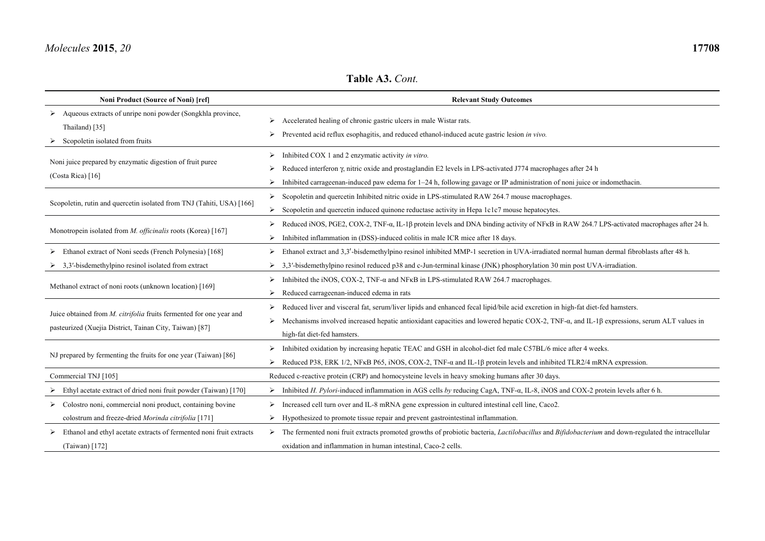#### **Table A3.** *Cont.*

| Noni Product (Source of Noni) [ref]                                                                                               | <b>Relevant Study Outcomes</b>                                                                                                                                                                                                                                                                                             |
|-----------------------------------------------------------------------------------------------------------------------------------|----------------------------------------------------------------------------------------------------------------------------------------------------------------------------------------------------------------------------------------------------------------------------------------------------------------------------|
| Aqueous extracts of unripe noni powder (Songkhla province,<br>Thailand) [35]<br>Scopoletin isolated from fruits                   | Accelerated healing of chronic gastric ulcers in male Wistar rats.<br>Prevented acid reflux esophagitis, and reduced ethanol-induced acute gastric lesion in vivo.                                                                                                                                                         |
| Noni juice prepared by enzymatic digestion of fruit puree<br>(Costa Rica) [16]                                                    | Inhibited COX 1 and 2 enzymatic activity in vitro.<br>Reduced interferon $\gamma$ , nitric oxide and prostaglandin E2 levels in LPS-activated J774 macrophages after 24 h<br>Inhibited carrageenan-induced paw edema for 1-24 h, following gavage or IP administration of noni juice or indomethacin.                      |
| Scopoletin, rutin and quercetin isolated from TNJ (Tahiti, USA) [166]                                                             | Scopoletin and quercetin Inhibited nitric oxide in LPS-stimulated RAW 264.7 mouse macrophages.<br>➤<br>Scopoletin and quercetin induced quinone reductase activity in Hepa 1c1c7 mouse hepatocytes.<br>⋗                                                                                                                   |
| Monotropein isolated from <i>M. officinalis</i> roots (Korea) [167]                                                               | Reduced iNOS, PGE2, COX-2, TNF-a, IL-1β protein levels and DNA binding activity of NFKB in RAW 264.7 LPS-activated macrophages after 24 h.<br>Inhibited inflammation in (DSS)-induced colitis in male ICR mice after 18 days.                                                                                              |
| Ethanol extract of Noni seeds (French Polynesia) [168]<br>3,3'-bisdemethylpino resinol isolated from extract                      | Ethanol extract and 3,3'-bisdemethylpino resinol inhibited MMP-1 secretion in UVA-irradiated normal human dermal fibroblasts after 48 h.<br>➤<br>3,3'-bisdemethylpino resinol reduced p38 and c-Jun-terminal kinase (JNK) phosphorylation 30 min post UVA-irradiation.<br>➤                                                |
| Methanol extract of noni roots (unknown location) [169]                                                                           | Inhibited the iNOS, COX-2, TNF-a and NFKB in LPS-stimulated RAW 264.7 macrophages.<br>Reduced carrageenan-induced edema in rats                                                                                                                                                                                            |
| Juice obtained from M. citrifolia fruits fermented for one year and<br>pasteurized (Xuejia District, Tainan City, Taiwan) [87]    | Reduced liver and visceral fat, serum/liver lipids and enhanced fecal lipid/bile acid excretion in high-fat diet-fed hamsters.<br>Mechanisms involved increased hepatic antioxidant capacities and lowered hepatic COX-2, TNF- $\alpha$ , and IL-1 $\beta$ expressions, serum ALT values in<br>high-fat diet-fed hamsters. |
| NJ prepared by fermenting the fruits for one year (Taiwan) [86]                                                                   | Inhibited oxidation by increasing hepatic TEAC and GSH in alcohol-diet fed male C57BL/6 mice after 4 weeks.<br>Reduced P38, ERK $1/2$ , NF $\kappa$ B P65, iNOS, COX-2, TNF- $\alpha$ and IL-1 $\beta$ protein levels and inhibited TLR2/4 mRNA expression.                                                                |
| Commercial TNJ [105]                                                                                                              | Reduced c-reactive protein (CRP) and homocysteine levels in heavy smoking humans after 30 days.                                                                                                                                                                                                                            |
| Ethyl acetate extract of dried noni fruit powder (Taiwan) [170]                                                                   | Inhibited H. Pylori-induced inflammation in AGS cells by reducing CagA, TNF-a, IL-8, iNOS and COX-2 protein levels after 6 h.<br>➤                                                                                                                                                                                         |
| $\triangleright$ Colostro noni, commercial noni product, containing bovine<br>colostrum and freeze-dried Morinda citrifolia [171] | Increased cell turn over and IL-8 mRNA gene expression in cultured intestinal cell line, Caco2.<br>➤<br>Hypothesized to promote tissue repair and prevent gastrointestinal inflammation.                                                                                                                                   |
| Ethanol and ethyl acetate extracts of fermented noni fruit extracts<br>$(Taiwan)$ [172]                                           | The fermented noni fruit extracts promoted growths of probiotic bacteria, Lactilobacillus and Bifidobacterium and down-regulated the intracellular<br>oxidation and inflammation in human intestinal, Caco-2 cells.                                                                                                        |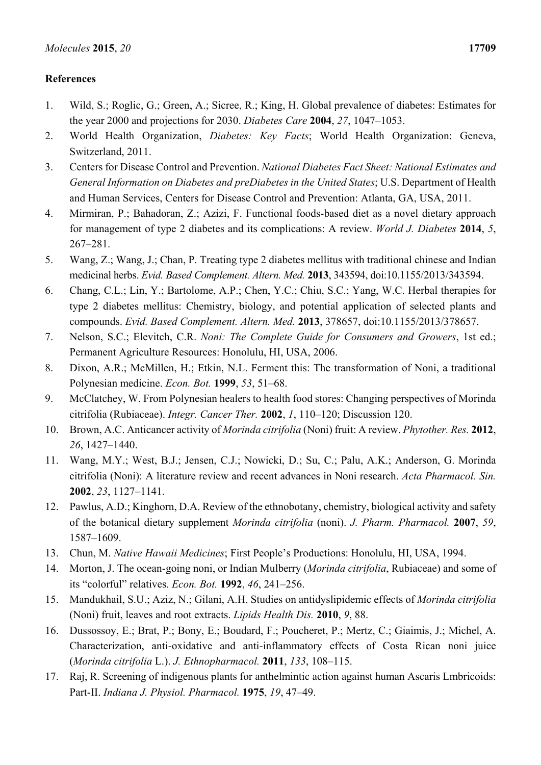### **References**

- 1. Wild, S.; Roglic, G.; Green, A.; Sicree, R.; King, H. Global prevalence of diabetes: Estimates for the year 2000 and projections for 2030. *Diabetes Care* **2004**, *27*, 1047–1053.
- 2. World Health Organization, *Diabetes: Key Facts*; World Health Organization: Geneva, Switzerland, 2011.
- 3. Centers for Disease Control and Prevention. *National Diabetes Fact Sheet: National Estimates and General Information on Diabetes and preDiabetes in the United States*; U.S. Department of Health and Human Services, Centers for Disease Control and Prevention: Atlanta, GA, USA, 2011.
- 4. Mirmiran, P.; Bahadoran, Z.; Azizi, F. Functional foods-based diet as a novel dietary approach for management of type 2 diabetes and its complications: A review. *World J. Diabetes* **2014**, *5*, 267–281.
- 5. Wang, Z.; Wang, J.; Chan, P. Treating type 2 diabetes mellitus with traditional chinese and Indian medicinal herbs. *Evid. Based Complement. Altern. Med.* **2013**, 343594, doi:10.1155/2013/343594.
- 6. Chang, C.L.; Lin, Y.; Bartolome, A.P.; Chen, Y.C.; Chiu, S.C.; Yang, W.C. Herbal therapies for type 2 diabetes mellitus: Chemistry, biology, and potential application of selected plants and compounds. *Evid. Based Complement. Altern. Med.* **2013**, 378657, doi:10.1155/2013/378657.
- 7. Nelson, S.C.; Elevitch, C.R. *Noni: The Complete Guide for Consumers and Growers*, 1st ed.; Permanent Agriculture Resources: Honolulu, HI, USA, 2006.
- 8. Dixon, A.R.; McMillen, H.; Etkin, N.L. Ferment this: The transformation of Noni, a traditional Polynesian medicine. *Econ. Bot.* **1999**, *53*, 51–68.
- 9. McClatchey, W. From Polynesian healers to health food stores: Changing perspectives of Morinda citrifolia (Rubiaceae). *Integr. Cancer Ther.* **2002**, *1*, 110–120; Discussion 120.
- 10. Brown, A.C. Anticancer activity of *Morinda citrifolia* (Noni) fruit: A review. *Phytother. Res.* **2012**, *26*, 1427–1440.
- 11. Wang, M.Y.; West, B.J.; Jensen, C.J.; Nowicki, D.; Su, C.; Palu, A.K.; Anderson, G. Morinda citrifolia (Noni): A literature review and recent advances in Noni research. *Acta Pharmacol. Sin.*  **2002**, *23*, 1127–1141.
- 12. Pawlus, A.D.; Kinghorn, D.A. Review of the ethnobotany, chemistry, biological activity and safety of the botanical dietary supplement *Morinda citrifolia* (noni). *J. Pharm. Pharmacol.* **2007**, *59*, 1587–1609.
- 13. Chun, M. *Native Hawaii Medicines*; First People's Productions: Honolulu, HI, USA, 1994.
- 14. Morton, J. The ocean-going noni, or Indian Mulberry (*Morinda citrifolia*, Rubiaceae) and some of its "colorful" relatives. *Econ. Bot.* **1992**, *46*, 241–256.
- 15. Mandukhail, S.U.; Aziz, N.; Gilani, A.H. Studies on antidyslipidemic effects of *Morinda citrifolia* (Noni) fruit, leaves and root extracts. *Lipids Health Dis.* **2010**, *9*, 88.
- 16. Dussossoy, E.; Brat, P.; Bony, E.; Boudard, F.; Poucheret, P.; Mertz, C.; Giaimis, J.; Michel, A. Characterization, anti-oxidative and anti-inflammatory effects of Costa Rican noni juice (*Morinda citrifolia* L.). *J. Ethnopharmacol.* **2011**, *133*, 108–115.
- 17. Raj, R. Screening of indigenous plants for anthelmintic action against human Ascaris Lmbricoids: Part-II. *Indiana J. Physiol. Pharmacol.* **1975**, *19*, 47–49.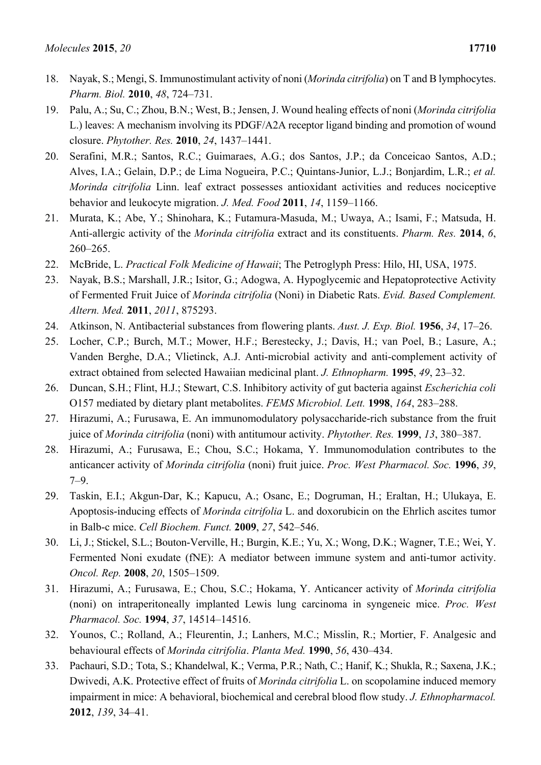- 18. Nayak, S.; Mengi, S. Immunostimulant activity of noni (*Morinda citrifolia*) on T and B lymphocytes. *Pharm. Biol.* **2010**, *48*, 724–731.
- 19. Palu, A.; Su, C.; Zhou, B.N.; West, B.; Jensen, J. Wound healing effects of noni (*Morinda citrifolia* L.) leaves: A mechanism involving its PDGF/A2A receptor ligand binding and promotion of wound closure. *Phytother. Res.* **2010**, *24*, 1437–1441.
- 20. Serafini, M.R.; Santos, R.C.; Guimaraes, A.G.; dos Santos, J.P.; da Conceicao Santos, A.D.; Alves, I.A.; Gelain, D.P.; de Lima Nogueira, P.C.; Quintans-Junior, L.J.; Bonjardim, L.R.; *et al. Morinda citrifolia* Linn. leaf extract possesses antioxidant activities and reduces nociceptive behavior and leukocyte migration. *J. Med. Food* **2011**, *14*, 1159–1166.
- 21. Murata, K.; Abe, Y.; Shinohara, K.; Futamura-Masuda, M.; Uwaya, A.; Isami, F.; Matsuda, H. Anti-allergic activity of the *Morinda citrifolia* extract and its constituents. *Pharm. Res.* **2014**, *6*, 260–265.
- 22. McBride, L. *Practical Folk Medicine of Hawaii*; The Petroglyph Press: Hilo, HI, USA, 1975.
- 23. Nayak, B.S.; Marshall, J.R.; Isitor, G.; Adogwa, A. Hypoglycemic and Hepatoprotective Activity of Fermented Fruit Juice of *Morinda citrifolia* (Noni) in Diabetic Rats. *Evid. Based Complement. Altern. Med.* **2011**, *2011*, 875293.
- 24. Atkinson, N. Antibacterial substances from flowering plants. *Aust. J. Exp. Biol.* **1956**, *34*, 17–26.
- 25. Locher, C.P.; Burch, M.T.; Mower, H.F.; Berestecky, J.; Davis, H.; van Poel, B.; Lasure, A.; Vanden Berghe, D.A.; Vlietinck, A.J. Anti-microbial activity and anti-complement activity of extract obtained from selected Hawaiian medicinal plant. *J. Ethnopharm.* **1995**, *49*, 23–32.
- 26. Duncan, S.H.; Flint, H.J.; Stewart, C.S. Inhibitory activity of gut bacteria against *Escherichia coli* O157 mediated by dietary plant metabolites. *FEMS Microbiol. Lett.* **1998**, *164*, 283–288.
- 27. Hirazumi, A.; Furusawa, E. An immunomodulatory polysaccharide-rich substance from the fruit juice of *Morinda citrifolia* (noni) with antitumour activity. *Phytother. Res.* **1999**, *13*, 380–387.
- 28. Hirazumi, A.; Furusawa, E.; Chou, S.C.; Hokama, Y. Immunomodulation contributes to the anticancer activity of *Morinda citrifolia* (noni) fruit juice. *Proc. West Pharmacol. Soc.* **1996**, *39*, 7–9.
- 29. Taskin, E.I.; Akgun-Dar, K.; Kapucu, A.; Osanc, E.; Dogruman, H.; Eraltan, H.; Ulukaya, E. Apoptosis-inducing effects of *Morinda citrifolia* L. and doxorubicin on the Ehrlich ascites tumor in Balb-c mice. *Cell Biochem. Funct.* **2009**, *27*, 542–546.
- 30. Li, J.; Stickel, S.L.; Bouton-Verville, H.; Burgin, K.E.; Yu, X.; Wong, D.K.; Wagner, T.E.; Wei, Y. Fermented Noni exudate (fNE): A mediator between immune system and anti-tumor activity. *Oncol. Rep.* **2008**, *20*, 1505–1509.
- 31. Hirazumi, A.; Furusawa, E.; Chou, S.C.; Hokama, Y. Anticancer activity of *Morinda citrifolia* (noni) on intraperitoneally implanted Lewis lung carcinoma in syngeneic mice. *Proc. West Pharmacol. Soc.* **1994**, *37*, 14514–14516.
- 32. Younos, C.; Rolland, A.; Fleurentin, J.; Lanhers, M.C.; Misslin, R.; Mortier, F. Analgesic and behavioural effects of *Morinda citrifolia*. *Planta Med.* **1990**, *56*, 430–434.
- 33. Pachauri, S.D.; Tota, S.; Khandelwal, K.; Verma, P.R.; Nath, C.; Hanif, K.; Shukla, R.; Saxena, J.K.; Dwivedi, A.K. Protective effect of fruits of *Morinda citrifolia* L. on scopolamine induced memory impairment in mice: A behavioral, biochemical and cerebral blood flow study. *J. Ethnopharmacol.*  **2012**, *139*, 34–41.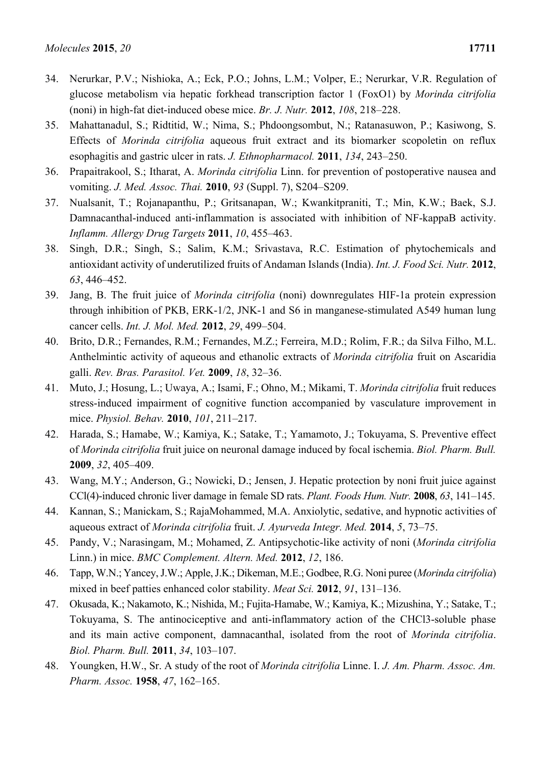- 34. Nerurkar, P.V.; Nishioka, A.; Eck, P.O.; Johns, L.M.; Volper, E.; Nerurkar, V.R. Regulation of glucose metabolism via hepatic forkhead transcription factor 1 (FoxO1) by *Morinda citrifolia* (noni) in high-fat diet-induced obese mice. *Br. J. Nutr.* **2012**, *108*, 218–228.
- 35. Mahattanadul, S.; Ridtitid, W.; Nima, S.; Phdoongsombut, N.; Ratanasuwon, P.; Kasiwong, S. Effects of *Morinda citrifolia* aqueous fruit extract and its biomarker scopoletin on reflux esophagitis and gastric ulcer in rats. *J. Ethnopharmacol.* **2011**, *134*, 243–250.
- 36. Prapaitrakool, S.; Itharat, A. *Morinda citrifolia* Linn. for prevention of postoperative nausea and vomiting. *J. Med. Assoc. Thai.* **2010**, *93* (Suppl. 7), S204–S209.
- 37. Nualsanit, T.; Rojanapanthu, P.; Gritsanapan, W.; Kwankitpraniti, T.; Min, K.W.; Baek, S.J. Damnacanthal-induced anti-inflammation is associated with inhibition of NF-kappaB activity. *Inflamm. Allergy Drug Targets* **2011**, *10*, 455–463.
- 38. Singh, D.R.; Singh, S.; Salim, K.M.; Srivastava, R.C. Estimation of phytochemicals and antioxidant activity of underutilized fruits of Andaman Islands (India). *Int. J. Food Sci. Nutr.* **2012**, *63*, 446–452.
- 39. Jang, B. The fruit juice of *Morinda citrifolia* (noni) downregulates HIF-1a protein expression through inhibition of PKB, ERK-1/2, JNK-1 and S6 in manganese-stimulated A549 human lung cancer cells. *Int. J. Mol. Med.* **2012**, *29*, 499–504.
- 40. Brito, D.R.; Fernandes, R.M.; Fernandes, M.Z.; Ferreira, M.D.; Rolim, F.R.; da Silva Filho, M.L. Anthelmintic activity of aqueous and ethanolic extracts of *Morinda citrifolia* fruit on Ascaridia galli. *Rev. Bras. Parasitol. Vet.* **2009**, *18*, 32–36.
- 41. Muto, J.; Hosung, L.; Uwaya, A.; Isami, F.; Ohno, M.; Mikami, T. *Morinda citrifolia* fruit reduces stress-induced impairment of cognitive function accompanied by vasculature improvement in mice. *Physiol. Behav.* **2010**, *101*, 211–217.
- 42. Harada, S.; Hamabe, W.; Kamiya, K.; Satake, T.; Yamamoto, J.; Tokuyama, S. Preventive effect of *Morinda citrifolia* fruit juice on neuronal damage induced by focal ischemia. *Biol. Pharm. Bull.*  **2009**, *32*, 405–409.
- 43. Wang, M.Y.; Anderson, G.; Nowicki, D.; Jensen, J. Hepatic protection by noni fruit juice against CCl(4)-induced chronic liver damage in female SD rats. *Plant. Foods Hum. Nutr.* **2008**, *63*, 141–145.
- 44. Kannan, S.; Manickam, S.; RajaMohammed, M.A. Anxiolytic, sedative, and hypnotic activities of aqueous extract of *Morinda citrifolia* fruit. *J. Ayurveda Integr. Med.* **2014**, *5*, 73–75.
- 45. Pandy, V.; Narasingam, M.; Mohamed, Z. Antipsychotic-like activity of noni (*Morinda citrifolia* Linn.) in mice. *BMC Complement. Altern. Med.* **2012**, *12*, 186.
- 46. Tapp, W.N.; Yancey, J.W.; Apple, J.K.; Dikeman, M.E.; Godbee, R.G. Noni puree (*Morinda citrifolia*) mixed in beef patties enhanced color stability. *Meat Sci.* **2012**, *91*, 131–136.
- 47. Okusada, K.; Nakamoto, K.; Nishida, M.; Fujita-Hamabe, W.; Kamiya, K.; Mizushina, Y.; Satake, T.; Tokuyama, S. The antinociceptive and anti-inflammatory action of the CHCl3-soluble phase and its main active component, damnacanthal, isolated from the root of *Morinda citrifolia*. *Biol. Pharm. Bull.* **2011**, *34*, 103–107.
- 48. Youngken, H.W., Sr. A study of the root of *Morinda citrifolia* Linne. I. *J. Am. Pharm. Assoc. Am. Pharm. Assoc.* **1958**, *47*, 162–165.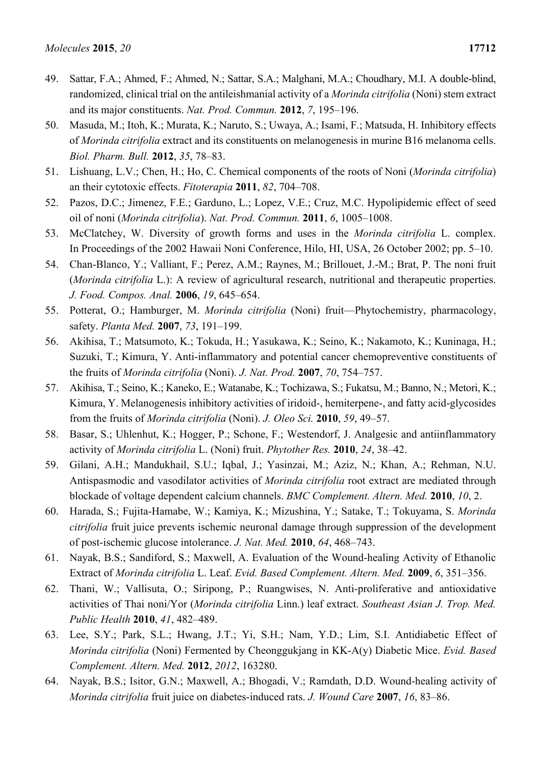- 49. Sattar, F.A.; Ahmed, F.; Ahmed, N.; Sattar, S.A.; Malghani, M.A.; Choudhary, M.I. A double-blind, randomized, clinical trial on the antileishmanial activity of a *Morinda citrifolia* (Noni) stem extract and its major constituents. *Nat. Prod. Commun.* **2012**, *7*, 195–196.
- 50. Masuda, M.; Itoh, K.; Murata, K.; Naruto, S.; Uwaya, A.; Isami, F.; Matsuda, H. Inhibitory effects of *Morinda citrifolia* extract and its constituents on melanogenesis in murine B16 melanoma cells. *Biol. Pharm. Bull.* **2012**, *35*, 78–83.
- 51. Lishuang, L.V.; Chen, H.; Ho, C. Chemical components of the roots of Noni (*Morinda citrifolia*) an their cytotoxic effects. *Fitoterapia* **2011**, *82*, 704–708.
- 52. Pazos, D.C.; Jimenez, F.E.; Garduno, L.; Lopez, V.E.; Cruz, M.C. Hypolipidemic effect of seed oil of noni (*Morinda citrifolia*). *Nat. Prod. Commun.* **2011**, *6*, 1005–1008.
- 53. McClatchey, W. Diversity of growth forms and uses in the *Morinda citrifolia* L. complex. In Proceedings of the 2002 Hawaii Noni Conference, Hilo, HI, USA, 26 October 2002; pp. 5–10.
- 54. Chan-Blanco, Y.; Valliant, F.; Perez, A.M.; Raynes, M.; Brillouet, J.-M.; Brat, P. The noni fruit (*Morinda citrifolia* L.): A review of agricultural research, nutritional and therapeutic properties. *J. Food. Compos. Anal.* **2006**, *19*, 645–654.
- 55. Potterat, O.; Hamburger, M. *Morinda citrifolia* (Noni) fruit—Phytochemistry, pharmacology, safety. *Planta Med.* **2007**, *73*, 191–199.
- 56. Akihisa, T.; Matsumoto, K.; Tokuda, H.; Yasukawa, K.; Seino, K.; Nakamoto, K.; Kuninaga, H.; Suzuki, T.; Kimura, Y. Anti-inflammatory and potential cancer chemopreventive constituents of the fruits of *Morinda citrifolia* (Noni). *J. Nat. Prod.* **2007**, *70*, 754–757.
- 57. Akihisa, T.; Seino, K.; Kaneko, E.; Watanabe, K.; Tochizawa, S.; Fukatsu, M.; Banno, N.; Metori, K.; Kimura, Y. Melanogenesis inhibitory activities of iridoid-, hemiterpene-, and fatty acid-glycosides from the fruits of *Morinda citrifolia* (Noni). *J. Oleo Sci.* **2010**, *59*, 49–57.
- 58. Basar, S.; Uhlenhut, K.; Hogger, P.; Schone, F.; Westendorf, J. Analgesic and antiinflammatory activity of *Morinda citrifolia* L. (Noni) fruit. *Phytother Res.* **2010**, *24*, 38–42.
- 59. Gilani, A.H.; Mandukhail, S.U.; Iqbal, J.; Yasinzai, M.; Aziz, N.; Khan, A.; Rehman, N.U. Antispasmodic and vasodilator activities of *Morinda citrifolia* root extract are mediated through blockade of voltage dependent calcium channels. *BMC Complement. Altern. Med.* **2010**, *10*, 2.
- 60. Harada, S.; Fujita-Hamabe, W.; Kamiya, K.; Mizushina, Y.; Satake, T.; Tokuyama, S. *Morinda citrifolia* fruit juice prevents ischemic neuronal damage through suppression of the development of post-ischemic glucose intolerance. *J. Nat. Med.* **2010**, *64*, 468–743.
- 61. Nayak, B.S.; Sandiford, S.; Maxwell, A. Evaluation of the Wound-healing Activity of Ethanolic Extract of *Morinda citrifolia* L. Leaf. *Evid. Based Complement. Altern. Med.* **2009**, *6*, 351–356.
- 62. Thani, W.; Vallisuta, O.; Siripong, P.; Ruangwises, N. Anti-proliferative and antioxidative activities of Thai noni/Yor (*Morinda citrifolia* Linn.) leaf extract. *Southeast Asian J. Trop. Med. Public Health* **2010**, *41*, 482–489.
- 63. Lee, S.Y.; Park, S.L.; Hwang, J.T.; Yi, S.H.; Nam, Y.D.; Lim, S.I. Antidiabetic Effect of *Morinda citrifolia* (Noni) Fermented by Cheonggukjang in KK-A(y) Diabetic Mice. *Evid. Based Complement. Altern. Med.* **2012**, *2012*, 163280.
- 64. Nayak, B.S.; Isitor, G.N.; Maxwell, A.; Bhogadi, V.; Ramdath, D.D. Wound-healing activity of *Morinda citrifolia* fruit juice on diabetes-induced rats. *J. Wound Care* **2007**, *16*, 83–86.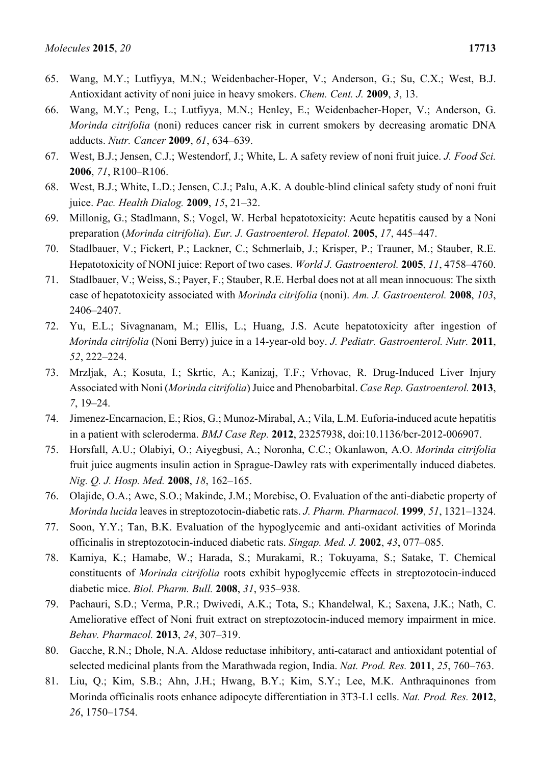- 65. Wang, M.Y.; Lutfiyya, M.N.; Weidenbacher-Hoper, V.; Anderson, G.; Su, C.X.; West, B.J. Antioxidant activity of noni juice in heavy smokers. *Chem. Cent. J.* **2009**, *3*, 13.
- 66. Wang, M.Y.; Peng, L.; Lutfiyya, M.N.; Henley, E.; Weidenbacher-Hoper, V.; Anderson, G. *Morinda citrifolia* (noni) reduces cancer risk in current smokers by decreasing aromatic DNA adducts. *Nutr. Cancer* **2009**, *61*, 634–639.
- 67. West, B.J.; Jensen, C.J.; Westendorf, J.; White, L. A safety review of noni fruit juice. *J. Food Sci.*  **2006**, *71*, R100–R106.
- 68. West, B.J.; White, L.D.; Jensen, C.J.; Palu, A.K. A double-blind clinical safety study of noni fruit juice. *Pac. Health Dialog.* **2009**, *15*, 21–32.
- 69. Millonig, G.; Stadlmann, S.; Vogel, W. Herbal hepatotoxicity: Acute hepatitis caused by a Noni preparation (*Morinda citrifolia*). *Eur. J. Gastroenterol. Hepatol.* **2005**, *17*, 445–447.
- 70. Stadlbauer, V.; Fickert, P.; Lackner, C.; Schmerlaib, J.; Krisper, P.; Trauner, M.; Stauber, R.E. Hepatotoxicity of NONI juice: Report of two cases. *World J. Gastroenterol.* **2005**, *11*, 4758–4760.
- 71. Stadlbauer, V.; Weiss, S.; Payer, F.; Stauber, R.E. Herbal does not at all mean innocuous: The sixth case of hepatotoxicity associated with *Morinda citrifolia* (noni). *Am. J. Gastroenterol.* **2008**, *103*, 2406–2407.
- 72. Yu, E.L.; Sivagnanam, M.; Ellis, L.; Huang, J.S. Acute hepatotoxicity after ingestion of *Morinda citrifolia* (Noni Berry) juice in a 14-year-old boy. *J. Pediatr. Gastroenterol. Nutr.* **2011**, *52*, 222–224.
- 73. Mrzljak, A.; Kosuta, I.; Skrtic, A.; Kanizaj, T.F.; Vrhovac, R. Drug-Induced Liver Injury Associated with Noni (*Morinda citrifolia*) Juice and Phenobarbital. *Case Rep. Gastroenterol.* **2013**, *7*, 19–24.
- 74. Jimenez-Encarnacion, E.; Rios, G.; Munoz-Mirabal, A.; Vila, L.M. Euforia-induced acute hepatitis in a patient with scleroderma. *BMJ Case Rep.* **2012**, 23257938, doi:10.1136/bcr-2012-006907.
- 75. Horsfall, A.U.; Olabiyi, O.; Aiyegbusi, A.; Noronha, C.C.; Okanlawon, A.O. *Morinda citrifolia* fruit juice augments insulin action in Sprague-Dawley rats with experimentally induced diabetes. *Nig. Q. J. Hosp. Med.* **2008**, *18*, 162–165.
- 76. Olajide, O.A.; Awe, S.O.; Makinde, J.M.; Morebise, O. Evaluation of the anti-diabetic property of *Morinda lucida* leaves in streptozotocin-diabetic rats. *J. Pharm. Pharmacol.* **1999**, *51*, 1321–1324.
- 77. Soon, Y.Y.; Tan, B.K. Evaluation of the hypoglycemic and anti-oxidant activities of Morinda officinalis in streptozotocin-induced diabetic rats. *Singap. Med. J.* **2002**, *43*, 077–085.
- 78. Kamiya, K.; Hamabe, W.; Harada, S.; Murakami, R.; Tokuyama, S.; Satake, T. Chemical constituents of *Morinda citrifolia* roots exhibit hypoglycemic effects in streptozotocin-induced diabetic mice. *Biol. Pharm. Bull.* **2008**, *31*, 935–938.
- 79. Pachauri, S.D.; Verma, P.R.; Dwivedi, A.K.; Tota, S.; Khandelwal, K.; Saxena, J.K.; Nath, C. Ameliorative effect of Noni fruit extract on streptozotocin-induced memory impairment in mice. *Behav. Pharmacol.* **2013**, *24*, 307–319.
- 80. Gacche, R.N.; Dhole, N.A. Aldose reductase inhibitory, anti-cataract and antioxidant potential of selected medicinal plants from the Marathwada region, India. *Nat. Prod. Res.* **2011**, *25*, 760–763.
- 81. Liu, Q.; Kim, S.B.; Ahn, J.H.; Hwang, B.Y.; Kim, S.Y.; Lee, M.K. Anthraquinones from Morinda officinalis roots enhance adipocyte differentiation in 3T3-L1 cells. *Nat. Prod. Res.* **2012**, *26*, 1750–1754.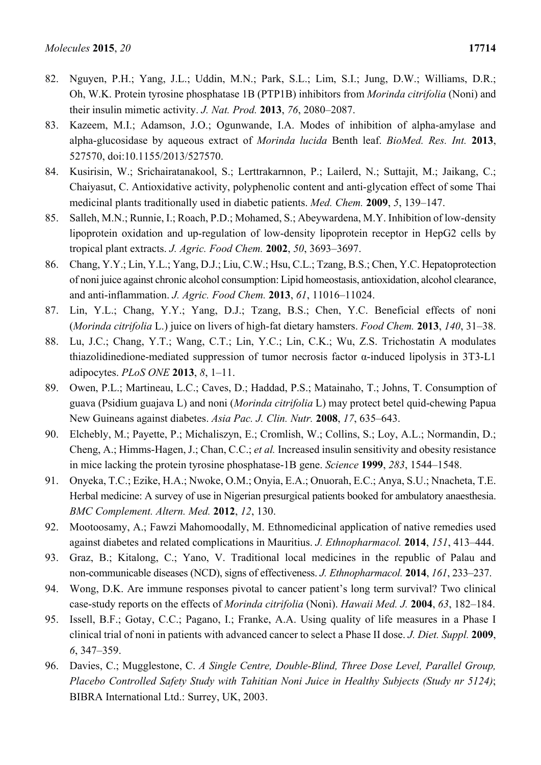- 82. Nguyen, P.H.; Yang, J.L.; Uddin, M.N.; Park, S.L.; Lim, S.I.; Jung, D.W.; Williams, D.R.; Oh, W.K. Protein tyrosine phosphatase 1B (PTP1B) inhibitors from *Morinda citrifolia* (Noni) and their insulin mimetic activity. *J. Nat. Prod.* **2013**, *76*, 2080–2087.
- 83. Kazeem, M.I.; Adamson, J.O.; Ogunwande, I.A. Modes of inhibition of alpha-amylase and alpha-glucosidase by aqueous extract of *Morinda lucida* Benth leaf. *BioMed. Res. Int.* **2013**, 527570, doi:10.1155/2013/527570.
- 84. Kusirisin, W.; Srichairatanakool, S.; Lerttrakarnnon, P.; Lailerd, N.; Suttajit, M.; Jaikang, C.; Chaiyasut, C. Antioxidative activity, polyphenolic content and anti-glycation effect of some Thai medicinal plants traditionally used in diabetic patients. *Med. Chem.* **2009**, *5*, 139–147.
- 85. Salleh, M.N.; Runnie, I.; Roach, P.D.; Mohamed, S.; Abeywardena, M.Y. Inhibition of low-density lipoprotein oxidation and up-regulation of low-density lipoprotein receptor in HepG2 cells by tropical plant extracts. *J. Agric. Food Chem.* **2002**, *50*, 3693–3697.
- 86. Chang, Y.Y.; Lin, Y.L.; Yang, D.J.; Liu, C.W.; Hsu, C.L.; Tzang, B.S.; Chen, Y.C. Hepatoprotection of noni juice against chronic alcohol consumption: Lipid homeostasis, antioxidation, alcohol clearance, and anti-inflammation. *J. Agric. Food Chem.* **2013**, *61*, 11016–11024.
- 87. Lin, Y.L.; Chang, Y.Y.; Yang, D.J.; Tzang, B.S.; Chen, Y.C. Beneficial effects of noni (*Morinda citrifolia* L.) juice on livers of high-fat dietary hamsters. *Food Chem.* **2013**, *140*, 31–38.
- 88. Lu, J.C.; Chang, Y.T.; Wang, C.T.; Lin, Y.C.; Lin, C.K.; Wu, Z.S. Trichostatin A modulates thiazolidinedione-mediated suppression of tumor necrosis factor α-induced lipolysis in 3T3-L1 adipocytes. *PLoS ONE* **2013**, *8*, 1–11.
- 89. Owen, P.L.; Martineau, L.C.; Caves, D.; Haddad, P.S.; Matainaho, T.; Johns, T. Consumption of guava (Psidium guajava L) and noni (*Morinda citrifolia* L) may protect betel quid-chewing Papua New Guineans against diabetes. *Asia Pac. J. Clin. Nutr.* **2008**, *17*, 635–643.
- 90. Elchebly, M.; Payette, P.; Michaliszyn, E.; Cromlish, W.; Collins, S.; Loy, A.L.; Normandin, D.; Cheng, A.; Himms-Hagen, J.; Chan, C.C.; *et al.* Increased insulin sensitivity and obesity resistance in mice lacking the protein tyrosine phosphatase-1B gene. *Science* **1999**, *283*, 1544–1548.
- 91. Onyeka, T.C.; Ezike, H.A.; Nwoke, O.M.; Onyia, E.A.; Onuorah, E.C.; Anya, S.U.; Nnacheta, T.E. Herbal medicine: A survey of use in Nigerian presurgical patients booked for ambulatory anaesthesia. *BMC Complement. Altern. Med.* **2012**, *12*, 130.
- 92. Mootoosamy, A.; Fawzi Mahomoodally, M. Ethnomedicinal application of native remedies used against diabetes and related complications in Mauritius. *J. Ethnopharmacol.* **2014**, *151*, 413–444.
- 93. Graz, B.; Kitalong, C.; Yano, V. Traditional local medicines in the republic of Palau and non-communicable diseases (NCD), signs of effectiveness. *J. Ethnopharmacol.* **2014**, *161*, 233–237.
- 94. Wong, D.K. Are immune responses pivotal to cancer patient's long term survival? Two clinical case-study reports on the effects of *Morinda citrifolia* (Noni). *Hawaii Med. J.* **2004**, *63*, 182–184.
- 95. Issell, B.F.; Gotay, C.C.; Pagano, I.; Franke, A.A. Using quality of life measures in a Phase I clinical trial of noni in patients with advanced cancer to select a Phase II dose. *J. Diet. Suppl.* **2009**, *6*, 347–359.
- 96. Davies, C.; Mugglestone, C. *A Single Centre, Double-Blind, Three Dose Level, Parallel Group, Placebo Controlled Safety Study with Tahitian Noni Juice in Healthy Subjects (Study nr 5124)*; BIBRA International Ltd.: Surrey, UK, 2003.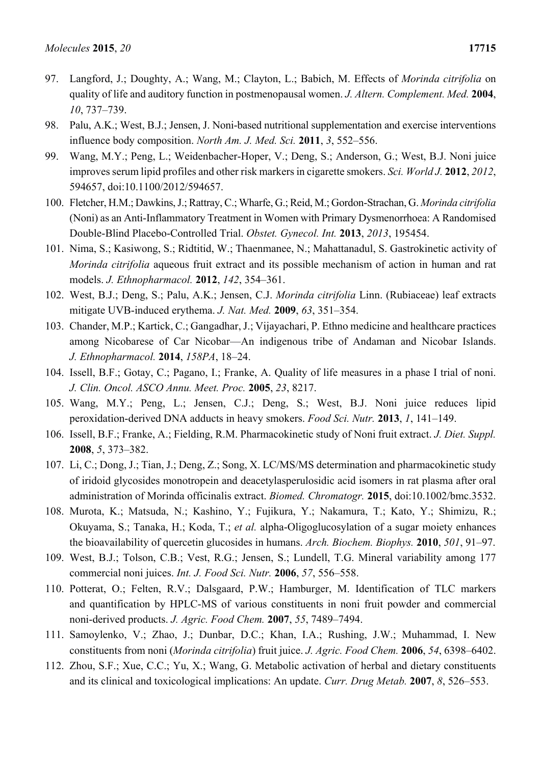- 97. Langford, J.; Doughty, A.; Wang, M.; Clayton, L.; Babich, M. Effects of *Morinda citrifolia* on quality of life and auditory function in postmenopausal women. *J. Altern. Complement. Med.* **2004**, *10*, 737–739.
- 98. Palu, A.K.; West, B.J.; Jensen, J. Noni-based nutritional supplementation and exercise interventions influence body composition. *North Am. J. Med. Sci.* **2011**, *3*, 552–556.
- 99. Wang, M.Y.; Peng, L.; Weidenbacher-Hoper, V.; Deng, S.; Anderson, G.; West, B.J. Noni juice improves serum lipid profiles and other risk markers in cigarette smokers. *Sci. World J.* **2012**, *2012*, 594657, doi:10.1100/2012/594657.
- 100. Fletcher, H.M.; Dawkins, J.; Rattray, C.; Wharfe, G.; Reid, M.; Gordon-Strachan, G. *Morinda citrifolia* (Noni) as an Anti-Inflammatory Treatment in Women with Primary Dysmenorrhoea: A Randomised Double-Blind Placebo-Controlled Trial. *Obstet. Gynecol. Int.* **2013**, *2013*, 195454.
- 101. Nima, S.; Kasiwong, S.; Ridtitid, W.; Thaenmanee, N.; Mahattanadul, S. Gastrokinetic activity of *Morinda citrifolia* aqueous fruit extract and its possible mechanism of action in human and rat models. *J. Ethnopharmacol.* **2012**, *142*, 354–361.
- 102. West, B.J.; Deng, S.; Palu, A.K.; Jensen, C.J. *Morinda citrifolia* Linn. (Rubiaceae) leaf extracts mitigate UVB-induced erythema. *J. Nat. Med.* **2009**, *63*, 351–354.
- 103. Chander, M.P.; Kartick, C.; Gangadhar, J.; Vijayachari, P. Ethno medicine and healthcare practices among Nicobarese of Car Nicobar—An indigenous tribe of Andaman and Nicobar Islands. *J. Ethnopharmacol.* **2014**, *158PA*, 18–24.
- 104. Issell, B.F.; Gotay, C.; Pagano, I.; Franke, A. Quality of life measures in a phase I trial of noni. *J. Clin. Oncol. ASCO Annu. Meet. Proc.* **2005**, *23*, 8217.
- 105. Wang, M.Y.; Peng, L.; Jensen, C.J.; Deng, S.; West, B.J. Noni juice reduces lipid peroxidation-derived DNA adducts in heavy smokers. *Food Sci. Nutr.* **2013**, *1*, 141–149.
- 106. Issell, B.F.; Franke, A.; Fielding, R.M. Pharmacokinetic study of Noni fruit extract. *J. Diet. Suppl.*  **2008**, *5*, 373–382.
- 107. Li, C.; Dong, J.; Tian, J.; Deng, Z.; Song, X. LC/MS/MS determination and pharmacokinetic study of iridoid glycosides monotropein and deacetylasperulosidic acid isomers in rat plasma after oral administration of Morinda officinalis extract. *Biomed. Chromatogr.* **2015**, doi:10.1002/bmc.3532.
- 108. Murota, K.; Matsuda, N.; Kashino, Y.; Fujikura, Y.; Nakamura, T.; Kato, Y.; Shimizu, R.; Okuyama, S.; Tanaka, H.; Koda, T.; *et al.* alpha-Oligoglucosylation of a sugar moiety enhances the bioavailability of quercetin glucosides in humans. *Arch. Biochem. Biophys.* **2010**, *501*, 91–97.
- 109. West, B.J.; Tolson, C.B.; Vest, R.G.; Jensen, S.; Lundell, T.G. Mineral variability among 177 commercial noni juices. *Int. J. Food Sci. Nutr.* **2006**, *57*, 556–558.
- 110. Potterat, O.; Felten, R.V.; Dalsgaard, P.W.; Hamburger, M. Identification of TLC markers and quantification by HPLC-MS of various constituents in noni fruit powder and commercial noni-derived products. *J. Agric. Food Chem.* **2007**, *55*, 7489–7494.
- 111. Samoylenko, V.; Zhao, J.; Dunbar, D.C.; Khan, I.A.; Rushing, J.W.; Muhammad, I. New constituents from noni (*Morinda citrifolia*) fruit juice. *J. Agric. Food Chem.* **2006**, *54*, 6398–6402.
- 112. Zhou, S.F.; Xue, C.C.; Yu, X.; Wang, G. Metabolic activation of herbal and dietary constituents and its clinical and toxicological implications: An update. *Curr. Drug Metab.* **2007**, *8*, 526–553.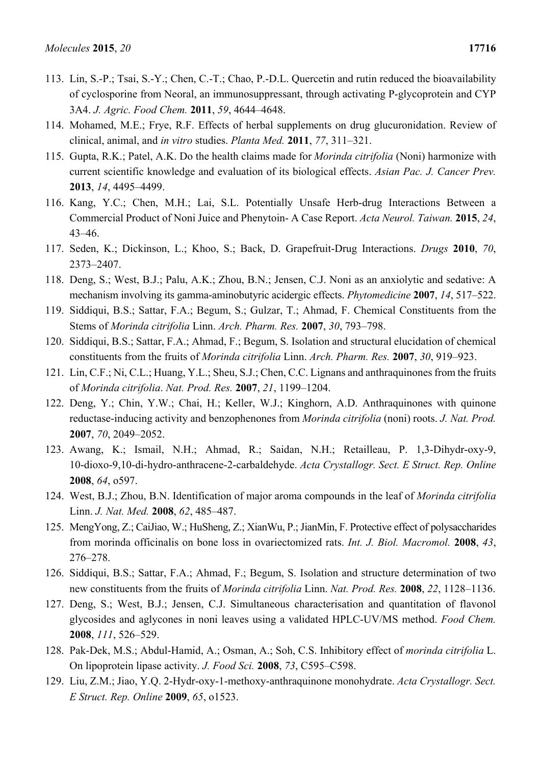- 113. Lin, S.-P.; Tsai, S.-Y.; Chen, C.-T.; Chao, P.-D.L. Quercetin and rutin reduced the bioavailability of cyclosporine from Neoral, an immunosuppressant, through activating P-glycoprotein and CYP 3A4. *J. Agric. Food Chem.* **2011**, *59*, 4644–4648.
- 114. Mohamed, M.E.; Frye, R.F. Effects of herbal supplements on drug glucuronidation. Review of clinical, animal, and *in vitro* studies. *Planta Med.* **2011**, *77*, 311–321.
- 115. Gupta, R.K.; Patel, A.K. Do the health claims made for *Morinda citrifolia* (Noni) harmonize with current scientific knowledge and evaluation of its biological effects. *Asian Pac. J. Cancer Prev.*  **2013**, *14*, 4495–4499.
- 116. Kang, Y.C.; Chen, M.H.; Lai, S.L. Potentially Unsafe Herb-drug Interactions Between a Commercial Product of Noni Juice and Phenytoin- A Case Report. *Acta Neurol. Taiwan.* **2015**, *24*, 43–46.
- 117. Seden, K.; Dickinson, L.; Khoo, S.; Back, D. Grapefruit-Drug Interactions. *Drugs* **2010**, *70*, 2373–2407.
- 118. Deng, S.; West, B.J.; Palu, A.K.; Zhou, B.N.; Jensen, C.J. Noni as an anxiolytic and sedative: A mechanism involving its gamma-aminobutyric acidergic effects. *Phytomedicine* **2007**, *14*, 517–522.
- 119. Siddiqui, B.S.; Sattar, F.A.; Begum, S.; Gulzar, T.; Ahmad, F. Chemical Constituents from the Stems of *Morinda citrifolia* Linn. *Arch. Pharm. Res.* **2007**, *30*, 793–798.
- 120. Siddiqui, B.S.; Sattar, F.A.; Ahmad, F.; Begum, S. Isolation and structural elucidation of chemical constituents from the fruits of *Morinda citrifolia* Linn. *Arch. Pharm. Res.* **2007**, *30*, 919–923.
- 121. Lin, C.F.; Ni, C.L.; Huang, Y.L.; Sheu, S.J.; Chen, C.C. Lignans and anthraquinones from the fruits of *Morinda citrifolia*. *Nat. Prod. Res.* **2007**, *21*, 1199–1204.
- 122. Deng, Y.; Chin, Y.W.; Chai, H.; Keller, W.J.; Kinghorn, A.D. Anthraquinones with quinone reductase-inducing activity and benzophenones from *Morinda citrifolia* (noni) roots. *J. Nat. Prod.*  **2007**, *70*, 2049–2052.
- 123. Awang, K.; Ismail, N.H.; Ahmad, R.; Saidan, N.H.; Retailleau, P. 1,3-Dihydr-oxy-9, 10-dioxo-9,10-di-hydro-anthracene-2-carbaldehyde. *Acta Crystallogr. Sect. E Struct. Rep. Online*  **2008**, *64*, o597.
- 124. West, B.J.; Zhou, B.N. Identification of major aroma compounds in the leaf of *Morinda citrifolia* Linn. *J. Nat. Med.* **2008**, *62*, 485–487.
- 125. MengYong, Z.; CaiJiao, W.; HuSheng, Z.; XianWu, P.; JianMin, F. Protective effect of polysaccharides from morinda officinalis on bone loss in ovariectomized rats. *Int. J. Biol. Macromol.* **2008**, *43*, 276–278.
- 126. Siddiqui, B.S.; Sattar, F.A.; Ahmad, F.; Begum, S. Isolation and structure determination of two new constituents from the fruits of *Morinda citrifolia* Linn. *Nat. Prod. Res.* **2008**, *22*, 1128–1136.
- 127. Deng, S.; West, B.J.; Jensen, C.J. Simultaneous characterisation and quantitation of flavonol glycosides and aglycones in noni leaves using a validated HPLC-UV/MS method. *Food Chem.*  **2008**, *111*, 526–529.
- 128. Pak-Dek, M.S.; Abdul-Hamid, A.; Osman, A.; Soh, C.S. Inhibitory effect of *morinda citrifolia* L. On lipoprotein lipase activity. *J. Food Sci.* **2008**, *73*, C595–C598.
- 129. Liu, Z.M.; Jiao, Y.Q. 2-Hydr-oxy-1-methoxy-anthraquinone monohydrate. *Acta Crystallogr. Sect. E Struct. Rep. Online* **2009**, *65*, o1523.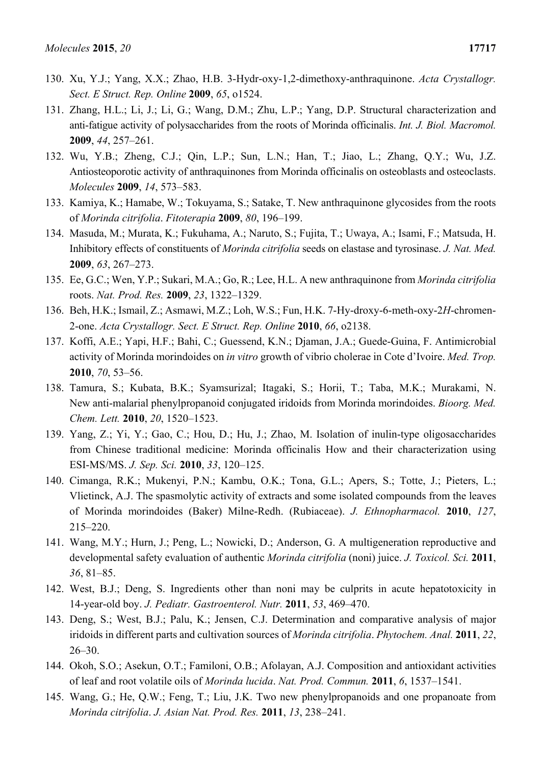- 130. Xu, Y.J.; Yang, X.X.; Zhao, H.B. 3-Hydr-oxy-1,2-dimethoxy-anthraquinone. *Acta Crystallogr. Sect. E Struct. Rep. Online* **2009**, *65*, o1524.
- 131. Zhang, H.L.; Li, J.; Li, G.; Wang, D.M.; Zhu, L.P.; Yang, D.P. Structural characterization and anti-fatigue activity of polysaccharides from the roots of Morinda officinalis. *Int. J. Biol. Macromol.*  **2009**, *44*, 257–261.
- 132. Wu, Y.B.; Zheng, C.J.; Qin, L.P.; Sun, L.N.; Han, T.; Jiao, L.; Zhang, Q.Y.; Wu, J.Z. Antiosteoporotic activity of anthraquinones from Morinda officinalis on osteoblasts and osteoclasts. *Molecules* **2009**, *14*, 573–583.
- 133. Kamiya, K.; Hamabe, W.; Tokuyama, S.; Satake, T. New anthraquinone glycosides from the roots of *Morinda citrifolia*. *Fitoterapia* **2009**, *80*, 196–199.
- 134. Masuda, M.; Murata, K.; Fukuhama, A.; Naruto, S.; Fujita, T.; Uwaya, A.; Isami, F.; Matsuda, H. Inhibitory effects of constituents of *Morinda citrifolia* seeds on elastase and tyrosinase. *J. Nat. Med.*  **2009**, *63*, 267–273.
- 135. Ee, G.C.; Wen, Y.P.; Sukari, M.A.; Go, R.; Lee, H.L. A new anthraquinone from *Morinda citrifolia* roots. *Nat. Prod. Res.* **2009**, *23*, 1322–1329.
- 136. Beh, H.K.; Ismail, Z.; Asmawi, M.Z.; Loh, W.S.; Fun, H.K. 7-Hy-droxy-6-meth-oxy-2*H*-chromen-2-one. *Acta Crystallogr. Sect. E Struct. Rep. Online* **2010**, *66*, o2138.
- 137. Koffi, A.E.; Yapi, H.F.; Bahi, C.; Guessend, K.N.; Djaman, J.A.; Guede-Guina, F. Antimicrobial activity of Morinda morindoides on *in vitro* growth of vibrio cholerae in Cote d'Ivoire. *Med. Trop.*  **2010**, *70*, 53–56.
- 138. Tamura, S.; Kubata, B.K.; Syamsurizal; Itagaki, S.; Horii, T.; Taba, M.K.; Murakami, N. New anti-malarial phenylpropanoid conjugated iridoids from Morinda morindoides. *Bioorg. Med. Chem. Lett.* **2010**, *20*, 1520–1523.
- 139. Yang, Z.; Yi, Y.; Gao, C.; Hou, D.; Hu, J.; Zhao, M. Isolation of inulin-type oligosaccharides from Chinese traditional medicine: Morinda officinalis How and their characterization using ESI-MS/MS. *J. Sep. Sci.* **2010**, *33*, 120–125.
- 140. Cimanga, R.K.; Mukenyi, P.N.; Kambu, O.K.; Tona, G.L.; Apers, S.; Totte, J.; Pieters, L.; Vlietinck, A.J. The spasmolytic activity of extracts and some isolated compounds from the leaves of Morinda morindoides (Baker) Milne-Redh. (Rubiaceae). *J. Ethnopharmacol.* **2010**, *127*, 215–220.
- 141. Wang, M.Y.; Hurn, J.; Peng, L.; Nowicki, D.; Anderson, G. A multigeneration reproductive and developmental safety evaluation of authentic *Morinda citrifolia* (noni) juice. *J. Toxicol. Sci.* **2011**, *36*, 81–85.
- 142. West, B.J.; Deng, S. Ingredients other than noni may be culprits in acute hepatotoxicity in 14-year-old boy. *J. Pediatr. Gastroenterol. Nutr.* **2011**, *53*, 469–470.
- 143. Deng, S.; West, B.J.; Palu, K.; Jensen, C.J. Determination and comparative analysis of major iridoids in different parts and cultivation sources of *Morinda citrifolia*. *Phytochem. Anal.* **2011**, *22*, 26–30.
- 144. Okoh, S.O.; Asekun, O.T.; Familoni, O.B.; Afolayan, A.J. Composition and antioxidant activities of leaf and root volatile oils of *Morinda lucida*. *Nat. Prod. Commun.* **2011**, *6*, 1537–1541.
- 145. Wang, G.; He, Q.W.; Feng, T.; Liu, J.K. Two new phenylpropanoids and one propanoate from *Morinda citrifolia*. *J. Asian Nat. Prod. Res.* **2011**, *13*, 238–241.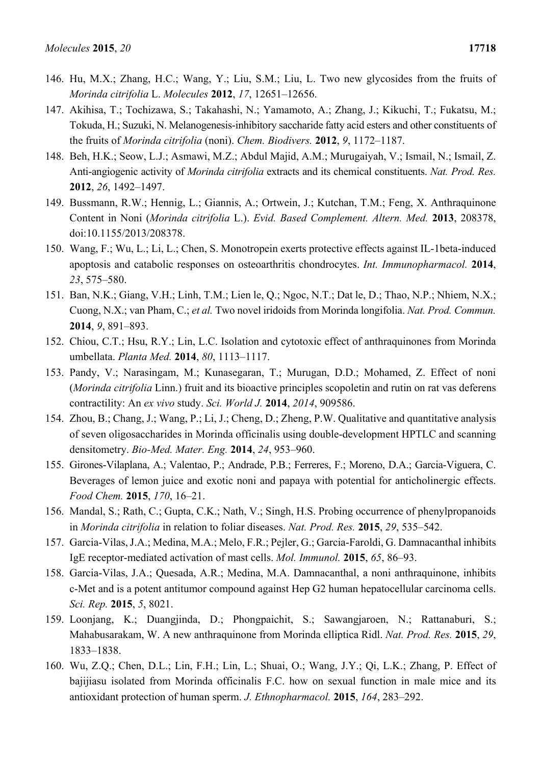- 146. Hu, M.X.; Zhang, H.C.; Wang, Y.; Liu, S.M.; Liu, L. Two new glycosides from the fruits of *Morinda citrifolia* L. *Molecules* **2012**, *17*, 12651–12656.
- 147. Akihisa, T.; Tochizawa, S.; Takahashi, N.; Yamamoto, A.; Zhang, J.; Kikuchi, T.; Fukatsu, M.; Tokuda, H.; Suzuki, N. Melanogenesis-inhibitory saccharide fatty acid esters and other constituents of the fruits of *Morinda citrifolia* (noni). *Chem. Biodivers.* **2012**, *9*, 1172–1187.
- 148. Beh, H.K.; Seow, L.J.; Asmawi, M.Z.; Abdul Majid, A.M.; Murugaiyah, V.; Ismail, N.; Ismail, Z. Anti-angiogenic activity of *Morinda citrifolia* extracts and its chemical constituents. *Nat. Prod. Res.*  **2012**, *26*, 1492–1497.
- 149. Bussmann, R.W.; Hennig, L.; Giannis, A.; Ortwein, J.; Kutchan, T.M.; Feng, X. Anthraquinone Content in Noni (*Morinda citrifolia* L.). *Evid. Based Complement. Altern. Med.* **2013**, 208378, doi:10.1155/2013/208378.
- 150. Wang, F.; Wu, L.; Li, L.; Chen, S. Monotropein exerts protective effects against IL-1beta-induced apoptosis and catabolic responses on osteoarthritis chondrocytes. *Int. Immunopharmacol.* **2014**, *23*, 575–580.
- 151. Ban, N.K.; Giang, V.H.; Linh, T.M.; Lien le, Q.; Ngoc, N.T.; Dat le, D.; Thao, N.P.; Nhiem, N.X.; Cuong, N.X.; van Pham, C.; *et al.* Two novel iridoids from Morinda longifolia. *Nat. Prod. Commun.*  **2014**, *9*, 891–893.
- 152. Chiou, C.T.; Hsu, R.Y.; Lin, L.C. Isolation and cytotoxic effect of anthraquinones from Morinda umbellata. *Planta Med.* **2014**, *80*, 1113–1117.
- 153. Pandy, V.; Narasingam, M.; Kunasegaran, T.; Murugan, D.D.; Mohamed, Z. Effect of noni (*Morinda citrifolia* Linn.) fruit and its bioactive principles scopoletin and rutin on rat vas deferens contractility: An *ex vivo* study. *Sci. World J.* **2014**, *2014*, 909586.
- 154. Zhou, B.; Chang, J.; Wang, P.; Li, J.; Cheng, D.; Zheng, P.W. Qualitative and quantitative analysis of seven oligosaccharides in Morinda officinalis using double-development HPTLC and scanning densitometry. *Bio-Med. Mater. Eng.* **2014**, *24*, 953–960.
- 155. Girones-Vilaplana, A.; Valentao, P.; Andrade, P.B.; Ferreres, F.; Moreno, D.A.; Garcia-Viguera, C. Beverages of lemon juice and exotic noni and papaya with potential for anticholinergic effects. *Food Chem.* **2015**, *170*, 16–21.
- 156. Mandal, S.; Rath, C.; Gupta, C.K.; Nath, V.; Singh, H.S. Probing occurrence of phenylpropanoids in *Morinda citrifolia* in relation to foliar diseases. *Nat. Prod. Res.* **2015**, *29*, 535–542.
- 157. Garcia-Vilas, J.A.; Medina, M.A.; Melo, F.R.; Pejler, G.; Garcia-Faroldi, G. Damnacanthal inhibits IgE receptor-mediated activation of mast cells. *Mol. Immunol.* **2015**, *65*, 86–93.
- 158. Garcia-Vilas, J.A.; Quesada, A.R.; Medina, M.A. Damnacanthal, a noni anthraquinone, inhibits c-Met and is a potent antitumor compound against Hep G2 human hepatocellular carcinoma cells. *Sci. Rep.* **2015**, *5*, 8021.
- 159. Loonjang, K.; Duangjinda, D.; Phongpaichit, S.; Sawangjaroen, N.; Rattanaburi, S.; Mahabusarakam, W. A new anthraquinone from Morinda elliptica Ridl. *Nat. Prod. Res.* **2015**, *29*, 1833–1838.
- 160. Wu, Z.Q.; Chen, D.L.; Lin, F.H.; Lin, L.; Shuai, O.; Wang, J.Y.; Qi, L.K.; Zhang, P. Effect of bajijiasu isolated from Morinda officinalis F.C. how on sexual function in male mice and its antioxidant protection of human sperm. *J. Ethnopharmacol.* **2015**, *164*, 283–292.